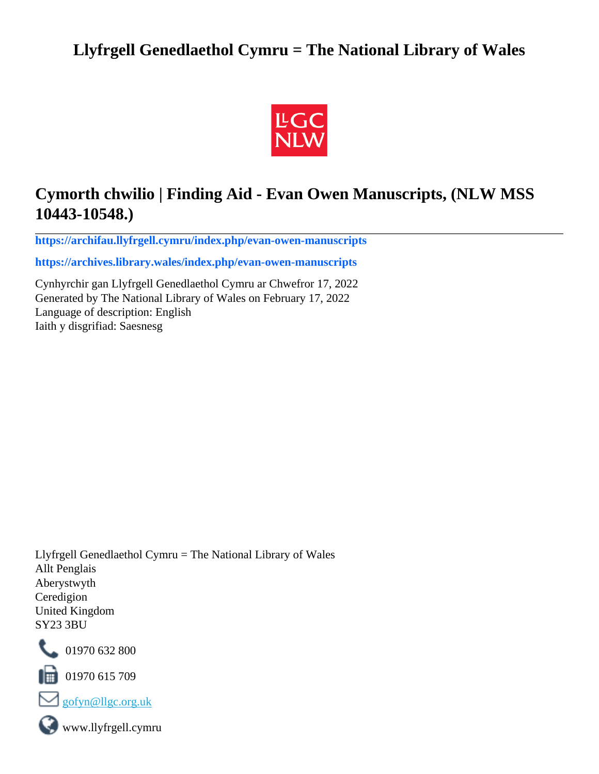# **Llyfrgell Genedlaethol Cymru = The National Library of Wales**



# **Cymorth chwilio | Finding Aid - Evan Owen Manuscripts, (NLW MSS 10443-10548.)**

**[https://archifau.llyfrgell.cymru/index.php/evan-owen-manuscripts](https://archifau.llyfrgell.cymru/index.php/evan-owen-manuscripts;isad?sf_culture=cy)**

**[https://archives.library.wales/index.php/evan-owen-manuscripts](https://archives.library.wales/index.php/evan-owen-manuscripts;isad?sf_culture=en)**

Cynhyrchir gan Llyfrgell Genedlaethol Cymru ar Chwefror 17, 2022 Generated by The National Library of Wales on February 17, 2022 Language of description: English Iaith y disgrifiad: Saesnesg

Llyfrgell Genedlaethol Cymru = The National Library of Wales Allt Penglais Aberystwyth Ceredigion United Kingdom SY23 3BU



101970 632 800

 $\blacksquare$  01970 615 709



www.llyfrgell.cymru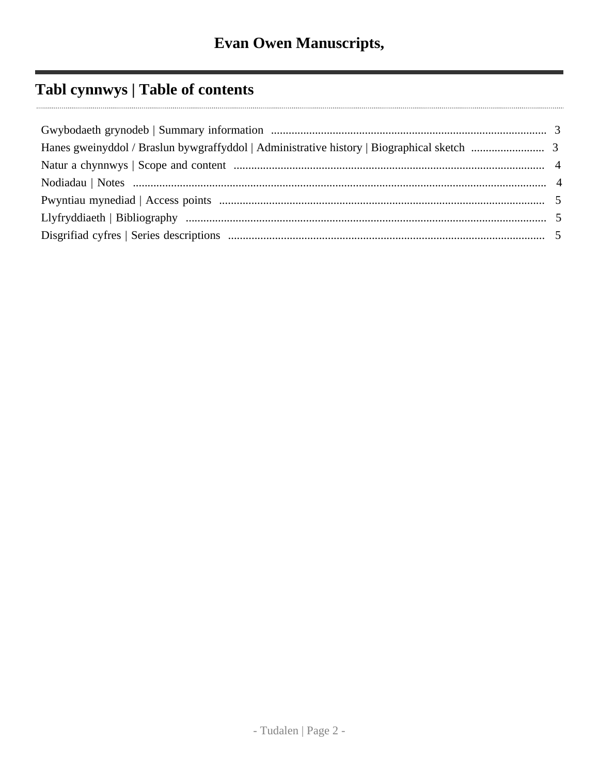# Tabl cynnwys | Table of contents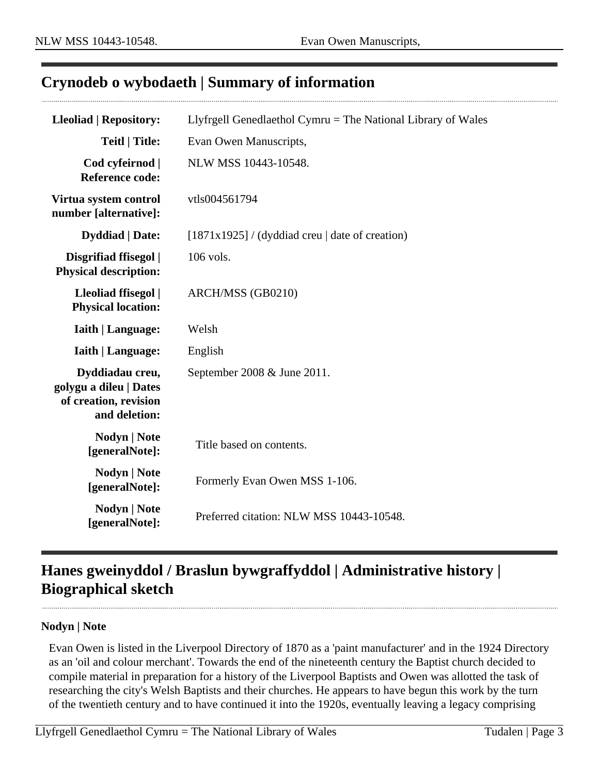## <span id="page-2-0"></span>**Crynodeb o wybodaeth | Summary of information**

| <b>Lleoliad   Repository:</b>                                                       | Llyfrgell Genedlaethol Cymru $=$ The National Library of Wales |
|-------------------------------------------------------------------------------------|----------------------------------------------------------------|
| <b>Teitl   Title:</b>                                                               | Evan Owen Manuscripts,                                         |
| Cod cyfeirnod  <br><b>Reference code:</b>                                           | NLW MSS 10443-10548.                                           |
| Virtua system control<br>number [alternative]:                                      | vtls004561794                                                  |
| <b>Dyddiad</b>   Date:                                                              | $[1871x1925]$ / (dyddiad creu   date of creation)              |
| Disgrifiad ffisegol  <br><b>Physical description:</b>                               | 106 vols.                                                      |
| Lleoliad ffisegol  <br><b>Physical location:</b>                                    | ARCH/MSS (GB0210)                                              |
| <b>Iaith   Language:</b>                                                            | Welsh                                                          |
| <b>Iaith   Language:</b>                                                            | English                                                        |
| Dyddiadau creu,<br>golygu a dileu   Dates<br>of creation, revision<br>and deletion: | September 2008 & June 2011.                                    |
| <b>Nodyn</b>   <b>Note</b><br>[generalNote]:                                        | Title based on contents.                                       |
| <b>Nodyn   Note</b><br>[generalNote]:                                               | Formerly Evan Owen MSS 1-106.                                  |
| <b>Nodyn   Note</b><br>[generalNote]:                                               | Preferred citation: NLW MSS 10443-10548.                       |

# <span id="page-2-1"></span>**Hanes gweinyddol / Braslun bywgraffyddol | Administrative history | Biographical sketch**

#### **Nodyn | Note**

Evan Owen is listed in the Liverpool Directory of 1870 as a 'paint manufacturer' and in the 1924 Directory as an 'oil and colour merchant'. Towards the end of the nineteenth century the Baptist church decided to compile material in preparation for a history of the Liverpool Baptists and Owen was allotted the task of researching the city's Welsh Baptists and their churches. He appears to have begun this work by the turn of the twentieth century and to have continued it into the 1920s, eventually leaving a legacy comprising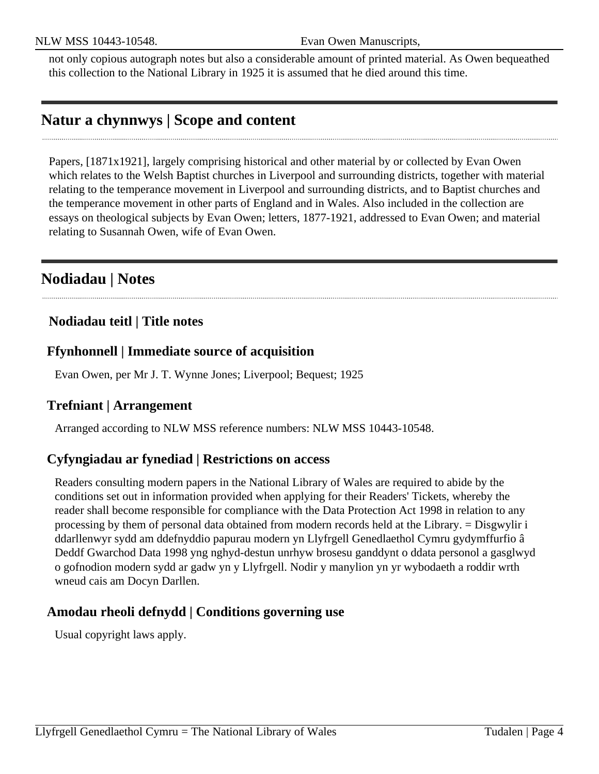not only copious autograph notes but also a considerable amount of printed material. As Owen bequeathed this collection to the National Library in 1925 it is assumed that he died around this time.

## <span id="page-3-0"></span>**Natur a chynnwys | Scope and content**

Papers, [1871x1921], largely comprising historical and other material by or collected by Evan Owen which relates to the Welsh Baptist churches in Liverpool and surrounding districts, together with material relating to the temperance movement in Liverpool and surrounding districts, and to Baptist churches and the temperance movement in other parts of England and in Wales. Also included in the collection are essays on theological subjects by Evan Owen; letters, 1877-1921, addressed to Evan Owen; and material relating to Susannah Owen, wife of Evan Owen.

## <span id="page-3-1"></span>**Nodiadau | Notes**

### **Nodiadau teitl | Title notes**

### **Ffynhonnell | Immediate source of acquisition**

Evan Owen, per Mr J. T. Wynne Jones; Liverpool; Bequest; 1925

### **Trefniant | Arrangement**

Arranged according to NLW MSS reference numbers: NLW MSS 10443-10548.

### **Cyfyngiadau ar fynediad | Restrictions on access**

Readers consulting modern papers in the National Library of Wales are required to abide by the conditions set out in information provided when applying for their Readers' Tickets, whereby the reader shall become responsible for compliance with the Data Protection Act 1998 in relation to any processing by them of personal data obtained from modern records held at the Library. = Disgwylir i ddarllenwyr sydd am ddefnyddio papurau modern yn Llyfrgell Genedlaethol Cymru gydymffurfio â Deddf Gwarchod Data 1998 yng nghyd-destun unrhyw brosesu ganddynt o ddata personol a gasglwyd o gofnodion modern sydd ar gadw yn y Llyfrgell. Nodir y manylion yn yr wybodaeth a roddir wrth wneud cais am Docyn Darllen.

### **Amodau rheoli defnydd | Conditions governing use**

Usual copyright laws apply.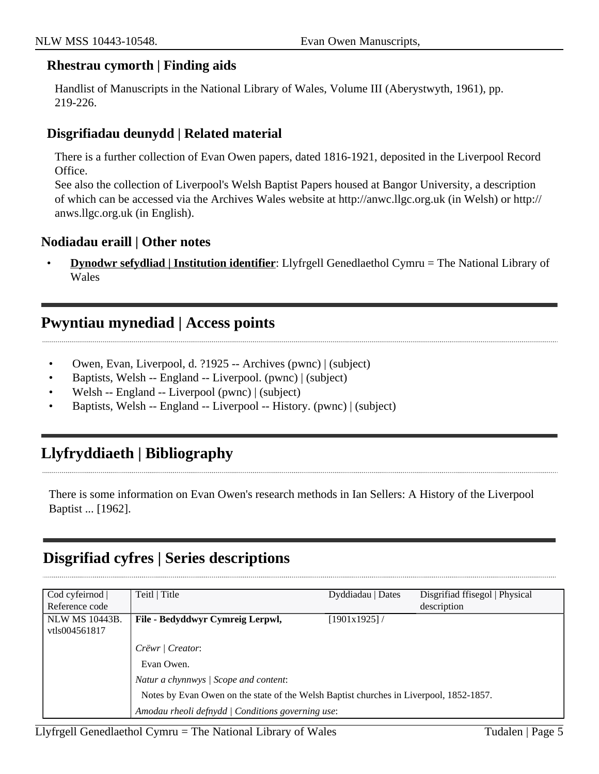#### **Rhestrau cymorth | Finding aids**

Handlist of Manuscripts in the National Library of Wales, Volume III (Aberystwyth, 1961), pp. 219-226.

#### **Disgrifiadau deunydd | Related material**

There is a further collection of Evan Owen papers, dated 1816-1921, deposited in the Liverpool Record Office.

See also the collection of Liverpool's Welsh Baptist Papers housed at Bangor University, a description of which can be accessed via the Archives Wales website at http://anwc.llgc.org.uk (in Welsh) or http:// anws.llgc.org.uk (in English).

#### **Nodiadau eraill | Other notes**

• **Dynodwr sefydliad | Institution identifier**: Llyfrgell Genedlaethol Cymru = The National Library of Wales

## <span id="page-4-0"></span>**Pwyntiau mynediad | Access points**

- Owen, Evan, Liverpool, d. ?1925 -- Archives (pwnc) | (subject)
- Baptists, Welsh -- England -- Liverpool. (pwnc) | (subject)
- Welsh -- England -- Liverpool (pwnc) | (subject)
- Baptists, Welsh -- England -- Liverpool -- History. (pwnc) | (subject)

## <span id="page-4-1"></span>**Llyfryddiaeth | Bibliography**

There is some information on Evan Owen's research methods in Ian Sellers: A History of the Liverpool Baptist ... [1962].

## <span id="page-4-2"></span>**Disgrifiad cyfres | Series descriptions**

| Cod cyfeirnod                          | Teitl   Title                                                                          | Dyddiadau   Dates | Disgrifiad ffisegol   Physical |
|----------------------------------------|----------------------------------------------------------------------------------------|-------------------|--------------------------------|
| Reference code                         |                                                                                        |                   | description                    |
| <b>NLW MS 10443B.</b><br>vtls004561817 | File - Bedyddwyr Cymreig Lerpwl,                                                       | [1901x1925]       |                                |
|                                        | Crëwr   Creator:                                                                       |                   |                                |
|                                        | Evan Owen.                                                                             |                   |                                |
|                                        | Natur a chynnwys / Scope and content:                                                  |                   |                                |
|                                        | Notes by Evan Owen on the state of the Welsh Baptist churches in Liverpool, 1852-1857. |                   |                                |
|                                        | Amodau rheoli defnydd   Conditions governing use:                                      |                   |                                |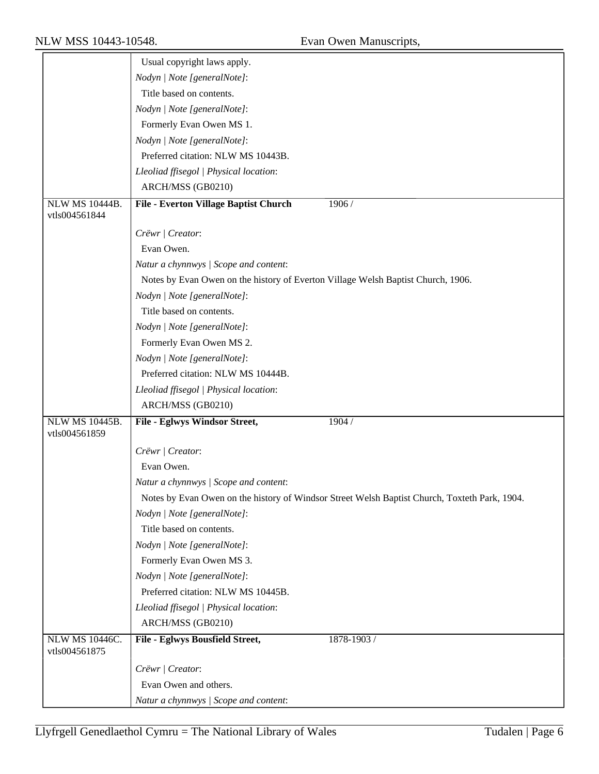|                                 | Usual copyright laws apply.                                                      |                                                                                               |
|---------------------------------|----------------------------------------------------------------------------------|-----------------------------------------------------------------------------------------------|
|                                 | Nodyn   Note [generalNote]:                                                      |                                                                                               |
|                                 | Title based on contents.                                                         |                                                                                               |
|                                 | Nodyn   Note [generalNote]:                                                      |                                                                                               |
|                                 | Formerly Evan Owen MS 1.                                                         |                                                                                               |
|                                 | Nodyn   Note [generalNote]:                                                      |                                                                                               |
|                                 | Preferred citation: NLW MS 10443B.                                               |                                                                                               |
|                                 | Lleoliad ffisegol   Physical location:                                           |                                                                                               |
|                                 | ARCH/MSS (GB0210)                                                                |                                                                                               |
| <b>NLW MS 10444B.</b>           | File - Everton Village Baptist Church                                            | 1906 /                                                                                        |
| vtls004561844                   |                                                                                  |                                                                                               |
|                                 | Crëwr   Creator:                                                                 |                                                                                               |
|                                 | Evan Owen.                                                                       |                                                                                               |
|                                 | Natur a chynnwys / Scope and content:                                            |                                                                                               |
|                                 | Notes by Evan Owen on the history of Everton Village Welsh Baptist Church, 1906. |                                                                                               |
|                                 | Nodyn   Note [generalNote]:                                                      |                                                                                               |
|                                 | Title based on contents.                                                         |                                                                                               |
|                                 | Nodyn   Note [generalNote]:                                                      |                                                                                               |
|                                 | Formerly Evan Owen MS 2.                                                         |                                                                                               |
|                                 | Nodyn   Note [generalNote]:                                                      |                                                                                               |
|                                 | Preferred citation: NLW MS 10444B.                                               |                                                                                               |
|                                 | Lleoliad ffisegol   Physical location:                                           |                                                                                               |
|                                 | ARCH/MSS (GB0210)                                                                |                                                                                               |
| <b>NLW MS 10445B.</b>           | File - Eglwys Windsor Street,                                                    | 1904 /                                                                                        |
| vtls004561859                   |                                                                                  |                                                                                               |
|                                 | Crëwr   Creator:                                                                 |                                                                                               |
|                                 | Evan Owen.                                                                       |                                                                                               |
|                                 | Natur a chynnwys / Scope and content:                                            |                                                                                               |
|                                 |                                                                                  | Notes by Evan Owen on the history of Windsor Street Welsh Baptist Church, Toxteth Park, 1904. |
|                                 | Nodyn   Note [generalNote]:                                                      |                                                                                               |
|                                 | Title based on contents.                                                         |                                                                                               |
|                                 | Nodyn   Note [generalNote]:                                                      |                                                                                               |
|                                 | Formerly Evan Owen MS 3.                                                         |                                                                                               |
|                                 | Nodyn   Note [generalNote]:                                                      |                                                                                               |
|                                 | Preferred citation: NLW MS 10445B.                                               |                                                                                               |
|                                 | Lleoliad ffisegol   Physical location:                                           |                                                                                               |
|                                 | ARCH/MSS (GB0210)                                                                |                                                                                               |
|                                 |                                                                                  |                                                                                               |
| NLW MS 10446C.<br>vtls004561875 | File - Eglwys Bousfield Street,                                                  | 1878-1903 /                                                                                   |
|                                 | Crëwr   Creator:                                                                 |                                                                                               |
|                                 | Evan Owen and others.                                                            |                                                                                               |
|                                 |                                                                                  |                                                                                               |
|                                 | Natur a chynnwys / Scope and content:                                            |                                                                                               |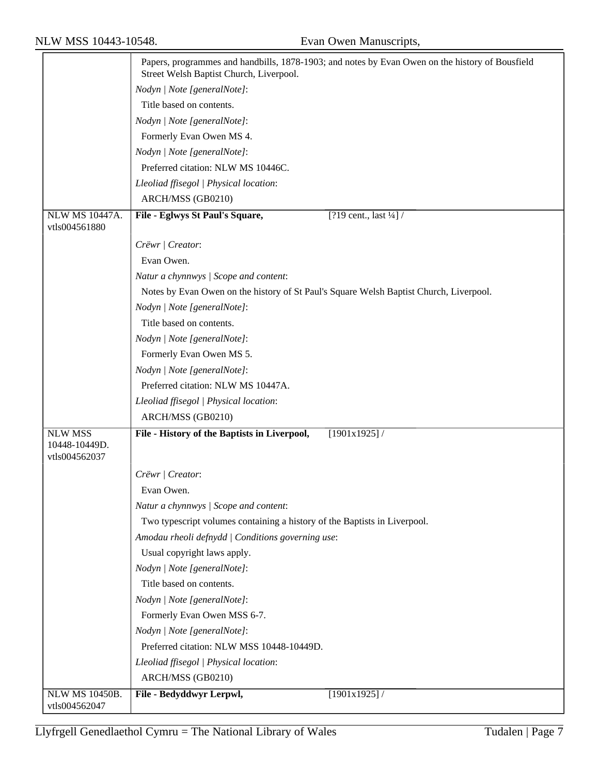|                                 | Papers, programmes and handbills, 1878-1903; and notes by Evan Owen on the history of Bousfield<br>Street Welsh Baptist Church, Liverpool. |
|---------------------------------|--------------------------------------------------------------------------------------------------------------------------------------------|
|                                 | Nodyn   Note [generalNote]:                                                                                                                |
|                                 | Title based on contents.                                                                                                                   |
|                                 | Nodyn   Note [generalNote]:                                                                                                                |
|                                 | Formerly Evan Owen MS 4.                                                                                                                   |
|                                 | Nodyn   Note [generalNote]:                                                                                                                |
|                                 | Preferred citation: NLW MS 10446C.                                                                                                         |
|                                 | Lleoliad ffisegol   Physical location:                                                                                                     |
|                                 | ARCH/MSS (GB0210)                                                                                                                          |
| <b>NLW MS 10447A.</b>           | [?19 cent., last $\frac{1}{4}$ ] /<br>File - Eglwys St Paul's Square,                                                                      |
| vtls004561880                   |                                                                                                                                            |
|                                 | Crëwr   Creator:                                                                                                                           |
|                                 | Evan Owen.                                                                                                                                 |
|                                 | Natur a chynnwys / Scope and content:                                                                                                      |
|                                 | Notes by Evan Owen on the history of St Paul's Square Welsh Baptist Church, Liverpool.                                                     |
|                                 | Nodyn   Note [generalNote]:                                                                                                                |
|                                 | Title based on contents.                                                                                                                   |
|                                 | Nodyn   Note [generalNote]:                                                                                                                |
|                                 | Formerly Evan Owen MS 5.                                                                                                                   |
|                                 | Nodyn   Note [generalNote]:                                                                                                                |
|                                 | Preferred citation: NLW MS 10447A.                                                                                                         |
|                                 | Lleoliad ffisegol   Physical location:                                                                                                     |
|                                 | ARCH/MSS (GB0210)                                                                                                                          |
| <b>NLW MSS</b>                  | File - History of the Baptists in Liverpool,<br>[1901x1925]                                                                                |
| 10448-10449D.<br>vtls004562037  |                                                                                                                                            |
|                                 | Crëwr   Creator:                                                                                                                           |
|                                 | Evan Owen.                                                                                                                                 |
|                                 | Natur a chynnwys / Scope and content:                                                                                                      |
|                                 | Two typescript volumes containing a history of the Baptists in Liverpool.                                                                  |
|                                 | Amodau rheoli defnydd   Conditions governing use:                                                                                          |
|                                 | Usual copyright laws apply.                                                                                                                |
|                                 | Nodyn   Note [generalNote]:                                                                                                                |
|                                 | Title based on contents.                                                                                                                   |
|                                 | Nodyn   Note [generalNote]:                                                                                                                |
|                                 | Formerly Evan Owen MSS 6-7.                                                                                                                |
|                                 | Nodyn   Note [generalNote]:                                                                                                                |
|                                 | Preferred citation: NLW MSS 10448-10449D.                                                                                                  |
|                                 | Lleoliad ffisegol   Physical location:                                                                                                     |
|                                 | ARCH/MSS (GB0210)                                                                                                                          |
| NLW MS 10450B.<br>vtls004562047 | [1901x1925]/<br>File - Bedyddwyr Lerpwl,                                                                                                   |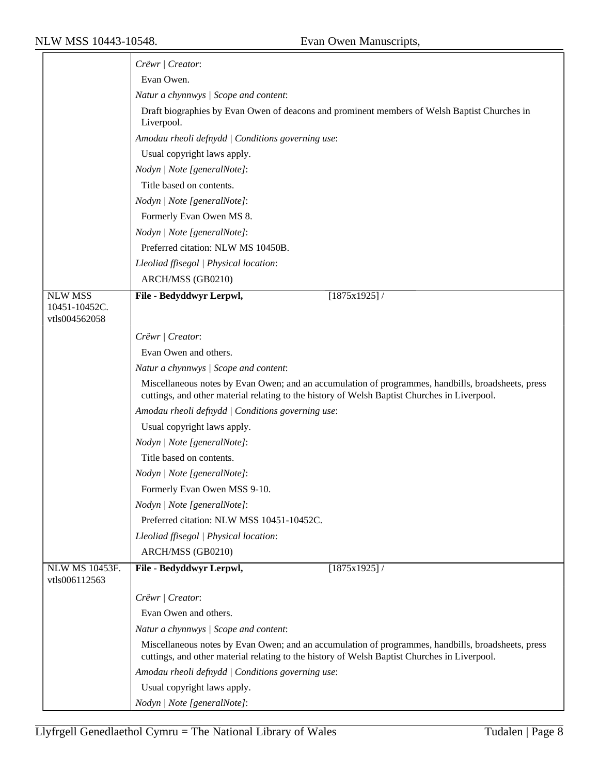|                                                  | Crëwr   Creator:                                                                                                                                                                                   |
|--------------------------------------------------|----------------------------------------------------------------------------------------------------------------------------------------------------------------------------------------------------|
|                                                  | Evan Owen.                                                                                                                                                                                         |
|                                                  | Natur a chynnwys / Scope and content:                                                                                                                                                              |
|                                                  | Draft biographies by Evan Owen of deacons and prominent members of Welsh Baptist Churches in<br>Liverpool.                                                                                         |
|                                                  | Amodau rheoli defnydd   Conditions governing use:                                                                                                                                                  |
|                                                  | Usual copyright laws apply.                                                                                                                                                                        |
|                                                  | Nodyn   Note [generalNote]:                                                                                                                                                                        |
|                                                  | Title based on contents.                                                                                                                                                                           |
|                                                  | Nodyn   Note [generalNote]:                                                                                                                                                                        |
|                                                  | Formerly Evan Owen MS 8.                                                                                                                                                                           |
|                                                  | Nodyn   Note [generalNote]:                                                                                                                                                                        |
|                                                  | Preferred citation: NLW MS 10450B.                                                                                                                                                                 |
|                                                  | Lleoliad ffisegol   Physical location:                                                                                                                                                             |
|                                                  | ARCH/MSS (GB0210)                                                                                                                                                                                  |
| <b>NLW MSS</b><br>10451-10452C.<br>vtls004562058 | File - Bedyddwyr Lerpwl,<br>$[1875x1925]$ /                                                                                                                                                        |
|                                                  | Crëwr   Creator:                                                                                                                                                                                   |
|                                                  | Evan Owen and others.                                                                                                                                                                              |
|                                                  | Natur a chynnwys / Scope and content:                                                                                                                                                              |
|                                                  | Miscellaneous notes by Evan Owen; and an accumulation of programmes, handbills, broadsheets, press<br>cuttings, and other material relating to the history of Welsh Baptist Churches in Liverpool. |
|                                                  | Amodau rheoli defnydd   Conditions governing use:                                                                                                                                                  |
|                                                  | Usual copyright laws apply.                                                                                                                                                                        |
|                                                  | Nodyn   Note [generalNote]:                                                                                                                                                                        |
|                                                  | Title based on contents.                                                                                                                                                                           |
|                                                  | Nodyn   Note [generalNote]:                                                                                                                                                                        |
|                                                  | Formerly Evan Owen MSS 9-10.                                                                                                                                                                       |
|                                                  | Nodyn   Note [generalNote]:                                                                                                                                                                        |
|                                                  | Preferred citation: NLW MSS 10451-10452C.                                                                                                                                                          |
|                                                  | Lleoliad ffisegol   Physical location:                                                                                                                                                             |
|                                                  | ARCH/MSS (GB0210)                                                                                                                                                                                  |
| NLW MS 10453F.<br>vtls006112563                  | [1875x1925]/<br>File - Bedyddwyr Lerpwl,                                                                                                                                                           |
|                                                  | Crëwr   Creator:                                                                                                                                                                                   |
|                                                  | Evan Owen and others.                                                                                                                                                                              |
|                                                  | Natur a chynnwys / Scope and content:                                                                                                                                                              |
|                                                  | Miscellaneous notes by Evan Owen; and an accumulation of programmes, handbills, broadsheets, press<br>cuttings, and other material relating to the history of Welsh Baptist Churches in Liverpool. |
|                                                  | Amodau rheoli defnydd   Conditions governing use:                                                                                                                                                  |
|                                                  | Usual copyright laws apply.                                                                                                                                                                        |
|                                                  | Nodyn   Note [generalNote]:                                                                                                                                                                        |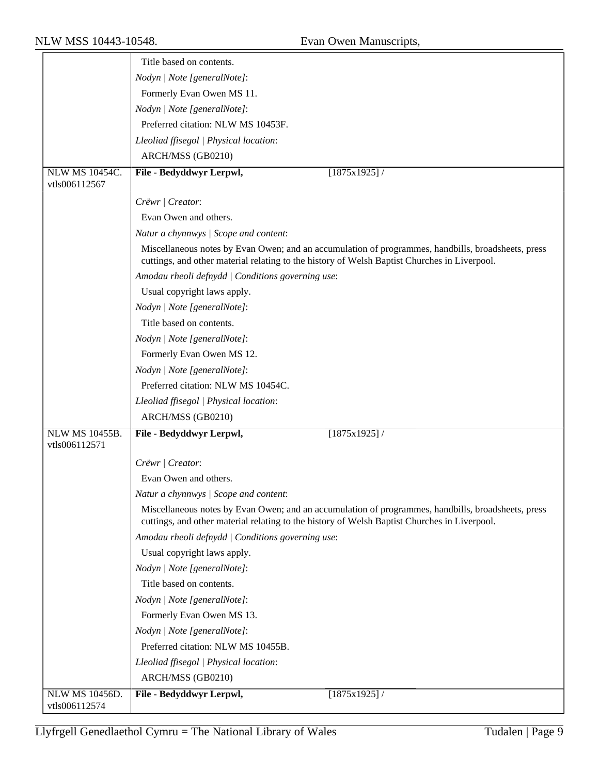|                                        | Title based on contents.                                                                                                                                                                           |
|----------------------------------------|----------------------------------------------------------------------------------------------------------------------------------------------------------------------------------------------------|
|                                        | Nodyn   Note [generalNote]:                                                                                                                                                                        |
|                                        |                                                                                                                                                                                                    |
|                                        | Formerly Evan Owen MS 11.                                                                                                                                                                          |
|                                        | Nodyn   Note [generalNote]:                                                                                                                                                                        |
|                                        | Preferred citation: NLW MS 10453F.                                                                                                                                                                 |
|                                        | Lleoliad ffisegol   Physical location:                                                                                                                                                             |
|                                        | ARCH/MSS (GB0210)                                                                                                                                                                                  |
| <b>NLW MS 10454C.</b><br>vtls006112567 | File - Bedyddwyr Lerpwl,<br>[1875x1925]/                                                                                                                                                           |
|                                        | Crëwr   Creator:                                                                                                                                                                                   |
|                                        | Evan Owen and others.                                                                                                                                                                              |
|                                        | Natur a chynnwys / Scope and content:                                                                                                                                                              |
|                                        | Miscellaneous notes by Evan Owen; and an accumulation of programmes, handbills, broadsheets, press<br>cuttings, and other material relating to the history of Welsh Baptist Churches in Liverpool. |
|                                        | Amodau rheoli defnydd   Conditions governing use:                                                                                                                                                  |
|                                        | Usual copyright laws apply.                                                                                                                                                                        |
|                                        | Nodyn   Note [generalNote]:                                                                                                                                                                        |
|                                        | Title based on contents.                                                                                                                                                                           |
|                                        | Nodyn   Note [generalNote]:                                                                                                                                                                        |
|                                        | Formerly Evan Owen MS 12.                                                                                                                                                                          |
|                                        | Nodyn   Note [generalNote]:                                                                                                                                                                        |
|                                        | Preferred citation: NLW MS 10454C.                                                                                                                                                                 |
|                                        | Lleoliad ffisegol   Physical location:                                                                                                                                                             |
|                                        | ARCH/MSS (GB0210)                                                                                                                                                                                  |
| <b>NLW MS 10455B.</b>                  | File - Bedyddwyr Lerpwl,<br>$[1875x1925]$ /                                                                                                                                                        |
| vtls006112571                          |                                                                                                                                                                                                    |
|                                        | Crëwr   Creator:                                                                                                                                                                                   |
|                                        | Evan Owen and others.                                                                                                                                                                              |
|                                        | Natur a chynnwys / Scope and content:                                                                                                                                                              |
|                                        | Miscellaneous notes by Evan Owen; and an accumulation of programmes, handbills, broadsheets, press<br>cuttings, and other material relating to the history of Welsh Baptist Churches in Liverpool. |
|                                        | Amodau rheoli defnydd   Conditions governing use:                                                                                                                                                  |
|                                        | Usual copyright laws apply.                                                                                                                                                                        |
|                                        | Nodyn   Note [generalNote]:                                                                                                                                                                        |
|                                        | Title based on contents.                                                                                                                                                                           |
|                                        | Nodyn   Note [generalNote]:                                                                                                                                                                        |
|                                        | Formerly Evan Owen MS 13.                                                                                                                                                                          |
|                                        | Nodyn   Note [generalNote]:                                                                                                                                                                        |
|                                        | Preferred citation: NLW MS 10455B.                                                                                                                                                                 |
|                                        | Lleoliad ffisegol   Physical location:                                                                                                                                                             |
|                                        | ARCH/MSS (GB0210)                                                                                                                                                                                  |
| NLW MS 10456D.<br>vtls006112574        | [1875x1925]/<br>File - Bedyddwyr Lerpwl,                                                                                                                                                           |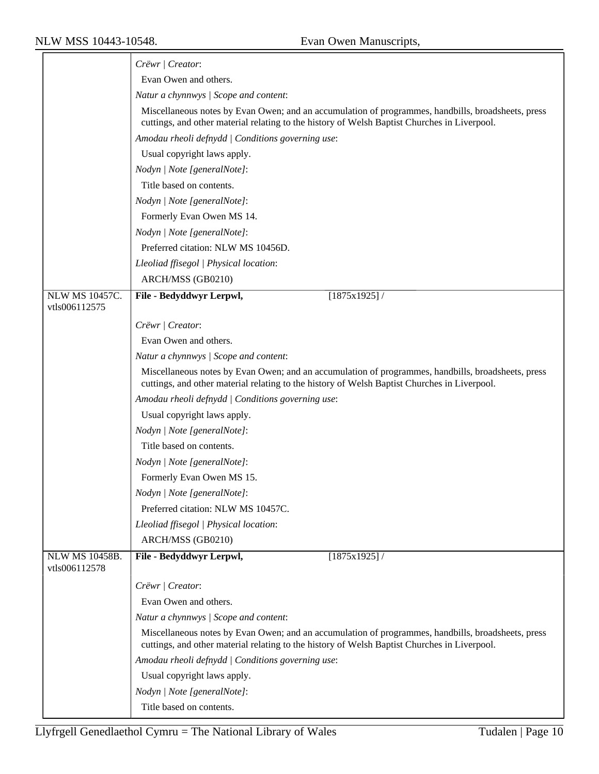|                                        | Crëwr   Creator:                                                                                                                                                                                   |
|----------------------------------------|----------------------------------------------------------------------------------------------------------------------------------------------------------------------------------------------------|
|                                        | Evan Owen and others.                                                                                                                                                                              |
|                                        | Natur a chynnwys / Scope and content:                                                                                                                                                              |
|                                        | Miscellaneous notes by Evan Owen; and an accumulation of programmes, handbills, broadsheets, press<br>cuttings, and other material relating to the history of Welsh Baptist Churches in Liverpool. |
|                                        | Amodau rheoli defnydd   Conditions governing use:                                                                                                                                                  |
|                                        | Usual copyright laws apply.                                                                                                                                                                        |
|                                        | Nodyn   Note [generalNote]:                                                                                                                                                                        |
|                                        | Title based on contents.                                                                                                                                                                           |
|                                        | Nodyn   Note [generalNote]:                                                                                                                                                                        |
|                                        | Formerly Evan Owen MS 14.                                                                                                                                                                          |
|                                        | Nodyn   Note [generalNote]:                                                                                                                                                                        |
|                                        | Preferred citation: NLW MS 10456D.                                                                                                                                                                 |
|                                        | Lleoliad ffisegol   Physical location:                                                                                                                                                             |
|                                        | ARCH/MSS (GB0210)                                                                                                                                                                                  |
| NLW MS 10457C.                         | File - Bedyddwyr Lerpwl,<br>$[1875x1925]$ /                                                                                                                                                        |
| vtls006112575                          |                                                                                                                                                                                                    |
|                                        | Crëwr   Creator:                                                                                                                                                                                   |
|                                        | Evan Owen and others.                                                                                                                                                                              |
|                                        | Natur a chynnwys / Scope and content:                                                                                                                                                              |
|                                        | Miscellaneous notes by Evan Owen; and an accumulation of programmes, handbills, broadsheets, press<br>cuttings, and other material relating to the history of Welsh Baptist Churches in Liverpool. |
|                                        | Amodau rheoli defnydd   Conditions governing use:                                                                                                                                                  |
|                                        | Usual copyright laws apply.                                                                                                                                                                        |
|                                        | Nodyn   Note [generalNote]:                                                                                                                                                                        |
|                                        | Title based on contents.                                                                                                                                                                           |
|                                        | Nodyn   Note [generalNote]:                                                                                                                                                                        |
|                                        | Formerly Evan Owen MS 15.                                                                                                                                                                          |
|                                        | Nodyn   Note [generalNote]:                                                                                                                                                                        |
|                                        | Preferred citation: NLW MS 10457C.                                                                                                                                                                 |
|                                        | Lleoliad ffisegol   Physical location:                                                                                                                                                             |
|                                        | ARCH/MSS (GB0210)                                                                                                                                                                                  |
| <b>NLW MS 10458B.</b><br>vtls006112578 | File - Bedyddwyr Lerpwl,<br>[1875x1925]/                                                                                                                                                           |
|                                        | Crëwr   Creator:                                                                                                                                                                                   |
|                                        | Evan Owen and others.                                                                                                                                                                              |
|                                        | Natur a chynnwys / Scope and content:                                                                                                                                                              |
|                                        | Miscellaneous notes by Evan Owen; and an accumulation of programmes, handbills, broadsheets, press<br>cuttings, and other material relating to the history of Welsh Baptist Churches in Liverpool. |
|                                        | Amodau rheoli defnydd   Conditions governing use:                                                                                                                                                  |
|                                        | Usual copyright laws apply.                                                                                                                                                                        |
|                                        | Nodyn   Note [generalNote]:                                                                                                                                                                        |
|                                        | Title based on contents.                                                                                                                                                                           |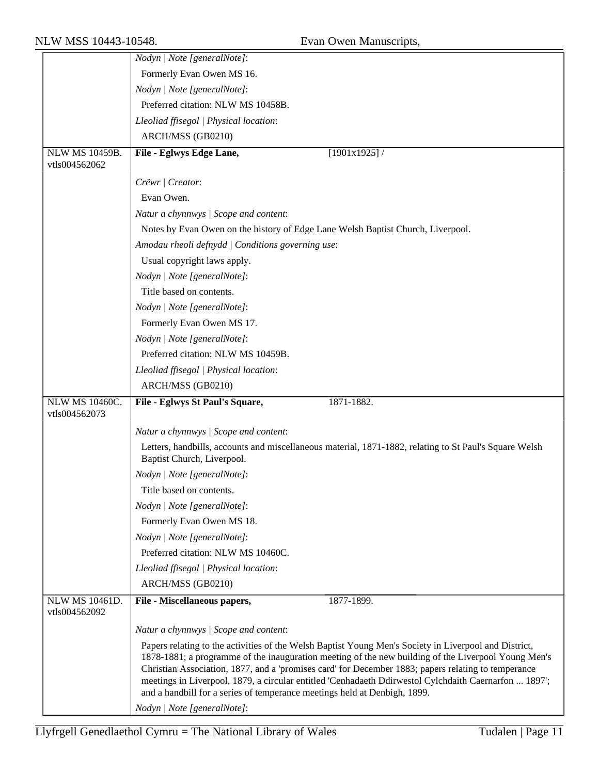|                                        | Nodyn   Note [generalNote]:                                                                                                                                                                                                                                                                                                                                                                                                                                                                               |
|----------------------------------------|-----------------------------------------------------------------------------------------------------------------------------------------------------------------------------------------------------------------------------------------------------------------------------------------------------------------------------------------------------------------------------------------------------------------------------------------------------------------------------------------------------------|
|                                        | Formerly Evan Owen MS 16.                                                                                                                                                                                                                                                                                                                                                                                                                                                                                 |
|                                        | Nodyn   Note [generalNote]:                                                                                                                                                                                                                                                                                                                                                                                                                                                                               |
|                                        | Preferred citation: NLW MS 10458B.                                                                                                                                                                                                                                                                                                                                                                                                                                                                        |
|                                        | Lleoliad ffisegol   Physical location:                                                                                                                                                                                                                                                                                                                                                                                                                                                                    |
|                                        | ARCH/MSS (GB0210)                                                                                                                                                                                                                                                                                                                                                                                                                                                                                         |
| NLW MS 10459B.                         | [1901x1925]/<br>File - Eglwys Edge Lane,                                                                                                                                                                                                                                                                                                                                                                                                                                                                  |
| vtls004562062                          |                                                                                                                                                                                                                                                                                                                                                                                                                                                                                                           |
|                                        | Crëwr   Creator:                                                                                                                                                                                                                                                                                                                                                                                                                                                                                          |
|                                        | Evan Owen.                                                                                                                                                                                                                                                                                                                                                                                                                                                                                                |
|                                        | Natur a chynnwys / Scope and content:                                                                                                                                                                                                                                                                                                                                                                                                                                                                     |
|                                        | Notes by Evan Owen on the history of Edge Lane Welsh Baptist Church, Liverpool.                                                                                                                                                                                                                                                                                                                                                                                                                           |
|                                        | Amodau rheoli defnydd   Conditions governing use:                                                                                                                                                                                                                                                                                                                                                                                                                                                         |
|                                        | Usual copyright laws apply.                                                                                                                                                                                                                                                                                                                                                                                                                                                                               |
|                                        | Nodyn   Note [generalNote]:                                                                                                                                                                                                                                                                                                                                                                                                                                                                               |
|                                        | Title based on contents.                                                                                                                                                                                                                                                                                                                                                                                                                                                                                  |
|                                        | Nodyn   Note [generalNote]:                                                                                                                                                                                                                                                                                                                                                                                                                                                                               |
|                                        | Formerly Evan Owen MS 17.                                                                                                                                                                                                                                                                                                                                                                                                                                                                                 |
|                                        | Nodyn   Note [generalNote]:                                                                                                                                                                                                                                                                                                                                                                                                                                                                               |
|                                        | Preferred citation: NLW MS 10459B.                                                                                                                                                                                                                                                                                                                                                                                                                                                                        |
|                                        | Lleoliad ffisegol   Physical location:                                                                                                                                                                                                                                                                                                                                                                                                                                                                    |
|                                        | ARCH/MSS (GB0210)                                                                                                                                                                                                                                                                                                                                                                                                                                                                                         |
| <b>NLW MS 10460C.</b>                  | File - Eglwys St Paul's Square,<br>1871-1882.                                                                                                                                                                                                                                                                                                                                                                                                                                                             |
| vtls004562073                          |                                                                                                                                                                                                                                                                                                                                                                                                                                                                                                           |
|                                        | Natur a chynnwys / Scope and content:                                                                                                                                                                                                                                                                                                                                                                                                                                                                     |
|                                        | Letters, handbills, accounts and miscellaneous material, 1871-1882, relating to St Paul's Square Welsh<br>Baptist Church, Liverpool.                                                                                                                                                                                                                                                                                                                                                                      |
|                                        | Nodyn   Note [generalNote]:                                                                                                                                                                                                                                                                                                                                                                                                                                                                               |
|                                        | Title based on contents.                                                                                                                                                                                                                                                                                                                                                                                                                                                                                  |
|                                        | Nodyn   Note [generalNote]:                                                                                                                                                                                                                                                                                                                                                                                                                                                                               |
|                                        | Formerly Evan Owen MS 18.                                                                                                                                                                                                                                                                                                                                                                                                                                                                                 |
|                                        | Nodyn   Note [generalNote]:                                                                                                                                                                                                                                                                                                                                                                                                                                                                               |
|                                        | Preferred citation: NLW MS 10460C.                                                                                                                                                                                                                                                                                                                                                                                                                                                                        |
|                                        | Lleoliad ffisegol   Physical location:                                                                                                                                                                                                                                                                                                                                                                                                                                                                    |
|                                        | ARCH/MSS (GB0210)                                                                                                                                                                                                                                                                                                                                                                                                                                                                                         |
| <b>NLW MS 10461D.</b><br>vtls004562092 | File - Miscellaneous papers,<br>1877-1899.                                                                                                                                                                                                                                                                                                                                                                                                                                                                |
|                                        | Natur a chynnwys / Scope and content:                                                                                                                                                                                                                                                                                                                                                                                                                                                                     |
|                                        | Papers relating to the activities of the Welsh Baptist Young Men's Society in Liverpool and District,<br>1878-1881; a programme of the inauguration meeting of the new building of the Liverpool Young Men's<br>Christian Association, 1877, and a 'promises card' for December 1883; papers relating to temperance<br>meetings in Liverpool, 1879, a circular entitled 'Cenhadaeth Ddirwestol Cylchdaith Caernarfon  1897';<br>and a handbill for a series of temperance meetings held at Denbigh, 1899. |
|                                        | Nodyn   Note [generalNote]:                                                                                                                                                                                                                                                                                                                                                                                                                                                                               |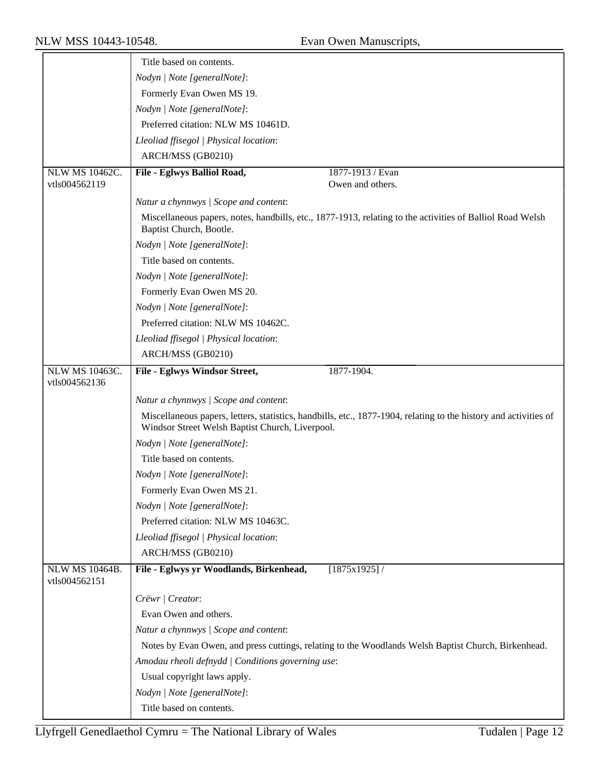|                                        | Title based on contents.                                                                                                             |
|----------------------------------------|--------------------------------------------------------------------------------------------------------------------------------------|
|                                        | Nodyn   Note [generalNote]:                                                                                                          |
|                                        | Formerly Evan Owen MS 19.                                                                                                            |
|                                        | Nodyn   Note [generalNote]:                                                                                                          |
|                                        | Preferred citation: NLW MS 10461D.                                                                                                   |
|                                        | Lleoliad ffisegol   Physical location:                                                                                               |
|                                        | ARCH/MSS (GB0210)                                                                                                                    |
| NLW MS 10462C.                         | 1877-1913 / Evan<br>File - Eglwys Balliol Road,                                                                                      |
| vtls004562119                          | Owen and others.                                                                                                                     |
|                                        | Natur a chynnwys / Scope and content:                                                                                                |
|                                        | Miscellaneous papers, notes, handbills, etc., 1877-1913, relating to the activities of Balliol Road Welsh<br>Baptist Church, Bootle. |
|                                        | Nodyn   Note [generalNote]:                                                                                                          |
|                                        | Title based on contents.                                                                                                             |
|                                        | Nodyn   Note [generalNote]:                                                                                                          |
|                                        | Formerly Evan Owen MS 20.                                                                                                            |
|                                        | Nodyn   Note [generalNote]:                                                                                                          |
|                                        | Preferred citation: NLW MS 10462C.                                                                                                   |
|                                        | Lleoliad ffisegol   Physical location:                                                                                               |
|                                        | ARCH/MSS (GB0210)                                                                                                                    |
| <b>NLW MS 10463C.</b><br>vtls004562136 | File - Eglwys Windsor Street,<br>1877-1904.                                                                                          |
|                                        | Natur a chynnwys / Scope and content:                                                                                                |
|                                        | Miscellaneous papers, letters, statistics, handbills, etc., 1877-1904, relating to the history and activities of                     |
|                                        | Windsor Street Welsh Baptist Church, Liverpool.                                                                                      |
|                                        | Nodyn   Note [generalNote]:                                                                                                          |
|                                        | Title based on contents.                                                                                                             |
|                                        | Nodyn   Note [generalNote]:                                                                                                          |
|                                        | Formerly Evan Owen MS 21.                                                                                                            |
|                                        | Nodyn   Note [generalNote]:                                                                                                          |
|                                        | Preferred citation: NLW MS 10463C.                                                                                                   |
|                                        | Lleoliad ffisegol   Physical location:                                                                                               |
|                                        | ARCH/MSS (GB0210)                                                                                                                    |
| <b>NLW MS 10464B.</b><br>vtls004562151 | File - Eglwys yr Woodlands, Birkenhead,<br>[1875x1925]/                                                                              |
|                                        | Crëwr   Creator:                                                                                                                     |
|                                        | Evan Owen and others.                                                                                                                |
|                                        | Natur a chynnwys / Scope and content:                                                                                                |
|                                        | Notes by Evan Owen, and press cuttings, relating to the Woodlands Welsh Baptist Church, Birkenhead.                                  |
|                                        | Amodau rheoli defnydd   Conditions governing use:                                                                                    |
|                                        | Usual copyright laws apply.                                                                                                          |
|                                        | Nodyn   Note [generalNote]:                                                                                                          |
|                                        | Title based on contents.                                                                                                             |
|                                        |                                                                                                                                      |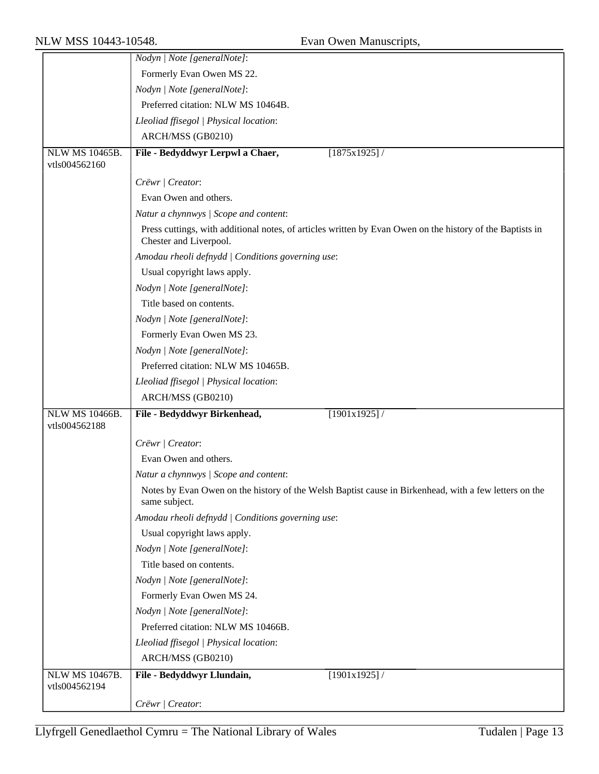|                       | Nodyn   Note [generalNote]:                                                                                                         |
|-----------------------|-------------------------------------------------------------------------------------------------------------------------------------|
|                       | Formerly Evan Owen MS 22.                                                                                                           |
|                       | Nodyn   Note [generalNote]:                                                                                                         |
|                       | Preferred citation: NLW MS 10464B.                                                                                                  |
|                       | Lleoliad ffisegol   Physical location:                                                                                              |
|                       | ARCH/MSS (GB0210)                                                                                                                   |
| <b>NLW MS 10465B.</b> | File - Bedyddwyr Lerpwl a Chaer,<br>[1875x1925]                                                                                     |
| vtls004562160         |                                                                                                                                     |
|                       | Crëwr   Creator:                                                                                                                    |
|                       | Evan Owen and others.                                                                                                               |
|                       | Natur a chynnwys / Scope and content:                                                                                               |
|                       | Press cuttings, with additional notes, of articles written by Evan Owen on the history of the Baptists in<br>Chester and Liverpool. |
|                       | Amodau rheoli defnydd   Conditions governing use:                                                                                   |
|                       | Usual copyright laws apply.                                                                                                         |
|                       | Nodyn   Note [generalNote]:                                                                                                         |
|                       | Title based on contents.                                                                                                            |
|                       | Nodyn   Note [generalNote]:                                                                                                         |
|                       | Formerly Evan Owen MS 23.                                                                                                           |
|                       | Nodyn   Note [generalNote]:                                                                                                         |
|                       | Preferred citation: NLW MS 10465B.                                                                                                  |
|                       | Lleoliad ffisegol   Physical location:                                                                                              |
|                       | ARCH/MSS (GB0210)                                                                                                                   |
| <b>NLW MS 10466B.</b> | File - Bedyddwyr Birkenhead,<br>[1901x1925]/                                                                                        |
| vtls004562188         |                                                                                                                                     |
|                       | Crëwr   Creator:                                                                                                                    |
|                       |                                                                                                                                     |
|                       | Evan Owen and others.                                                                                                               |
|                       | Natur a chynnwys / Scope and content:                                                                                               |
|                       | Notes by Evan Owen on the history of the Welsh Baptist cause in Birkenhead, with a few letters on the<br>same subject.              |
|                       | Amodau rheoli defnydd   Conditions governing use:                                                                                   |
|                       | Usual copyright laws apply.                                                                                                         |
|                       | Nodyn   Note [generalNote]:                                                                                                         |
|                       | Title based on contents.                                                                                                            |
|                       | Nodyn   Note [generalNote]:                                                                                                         |
|                       | Formerly Evan Owen MS 24.                                                                                                           |
|                       | Nodyn   Note [generalNote]:                                                                                                         |
|                       | Preferred citation: NLW MS 10466B.                                                                                                  |
|                       | Lleoliad ffisegol   Physical location:                                                                                              |
|                       | ARCH/MSS (GB0210)                                                                                                                   |
| <b>NLW MS 10467B.</b> | File - Bedyddwyr Llundain,<br>[1901x1925]/                                                                                          |
| vtls004562194         |                                                                                                                                     |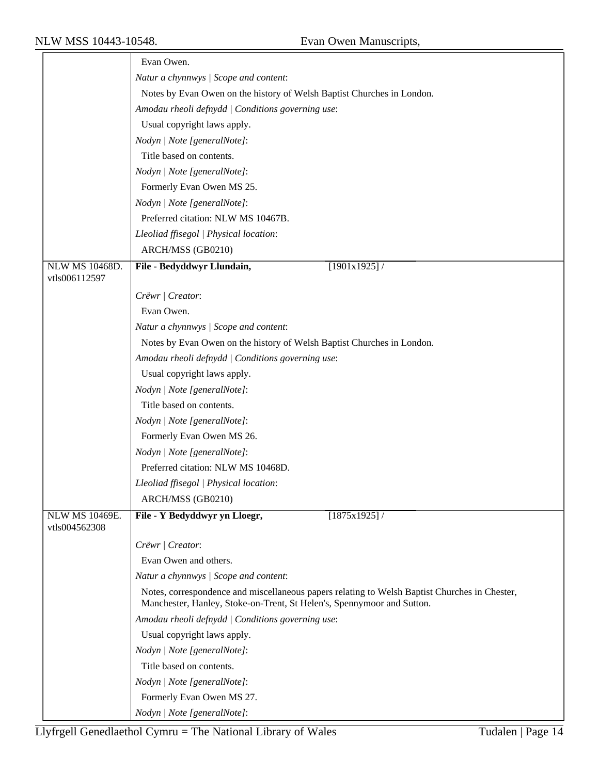|                       | Evan Owen.                                                                                    |
|-----------------------|-----------------------------------------------------------------------------------------------|
|                       | Natur a chynnwys / Scope and content:                                                         |
|                       |                                                                                               |
|                       | Notes by Evan Owen on the history of Welsh Baptist Churches in London.                        |
|                       | Amodau rheoli defnydd   Conditions governing use:                                             |
|                       | Usual copyright laws apply.                                                                   |
|                       | Nodyn   Note [generalNote]:                                                                   |
|                       | Title based on contents.                                                                      |
|                       | Nodyn   Note [generalNote]:                                                                   |
|                       | Formerly Evan Owen MS 25.                                                                     |
|                       | Nodyn   Note [generalNote]:                                                                   |
|                       | Preferred citation: NLW MS 10467B.                                                            |
|                       | Lleoliad ffisegol   Physical location:                                                        |
|                       | ARCH/MSS (GB0210)                                                                             |
| <b>NLW MS 10468D.</b> | File - Bedyddwyr Llundain,<br>[1901x1925]/                                                    |
| vtls006112597         |                                                                                               |
|                       | Crëwr   Creator:                                                                              |
|                       | Evan Owen.                                                                                    |
|                       | Natur a chynnwys / Scope and content:                                                         |
|                       | Notes by Evan Owen on the history of Welsh Baptist Churches in London.                        |
|                       | Amodau rheoli defnydd   Conditions governing use:                                             |
|                       | Usual copyright laws apply.                                                                   |
|                       | Nodyn   Note [generalNote]:                                                                   |
|                       | Title based on contents.                                                                      |
|                       | Nodyn   Note [generalNote]:                                                                   |
|                       | Formerly Evan Owen MS 26.                                                                     |
|                       | Nodyn   Note [generalNote]:                                                                   |
|                       | Preferred citation: NLW MS 10468D.                                                            |
|                       | Lleoliad ffisegol   Physical location:                                                        |
|                       | ARCH/MSS (GB0210)                                                                             |
| <b>NLW MS 10469E.</b> | File - Y Bedyddwyr yn Lloegr,<br>$[1875x1925]$ /                                              |
| vtls004562308         |                                                                                               |
|                       | Crëwr   Creator:                                                                              |
|                       | Evan Owen and others.                                                                         |
|                       | Natur a chynnwys / Scope and content:                                                         |
|                       | Notes, correspondence and miscellaneous papers relating to Welsh Baptist Churches in Chester, |
|                       | Manchester, Hanley, Stoke-on-Trent, St Helen's, Spennymoor and Sutton.                        |
|                       | Amodau rheoli defnydd   Conditions governing use:                                             |
|                       | Usual copyright laws apply.                                                                   |
|                       | Nodyn   Note [generalNote]:                                                                   |
|                       | Title based on contents.                                                                      |
|                       | Nodyn   Note [generalNote]:                                                                   |
|                       | Formerly Evan Owen MS 27.                                                                     |
|                       | Nodyn   Note [generalNote]:                                                                   |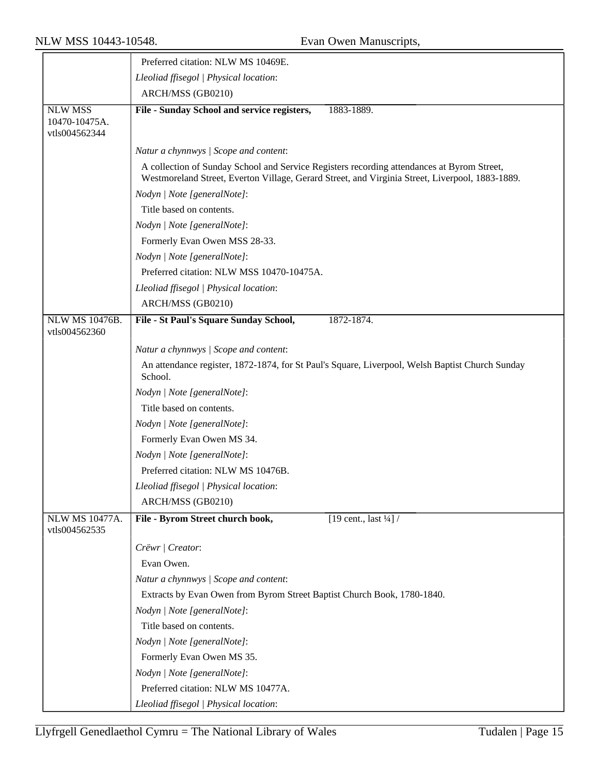|                                                  | Preferred citation: NLW MS 10469E.                                                                                                                                                            |  |
|--------------------------------------------------|-----------------------------------------------------------------------------------------------------------------------------------------------------------------------------------------------|--|
|                                                  | Lleoliad ffisegol   Physical location:                                                                                                                                                        |  |
|                                                  | ARCH/MSS (GB0210)                                                                                                                                                                             |  |
| <b>NLW MSS</b><br>10470-10475A.<br>vtls004562344 | File - Sunday School and service registers,<br>1883-1889.                                                                                                                                     |  |
|                                                  | Natur a chynnwys / Scope and content:                                                                                                                                                         |  |
|                                                  | A collection of Sunday School and Service Registers recording attendances at Byrom Street,<br>Westmoreland Street, Everton Village, Gerard Street, and Virginia Street, Liverpool, 1883-1889. |  |
|                                                  | Nodyn   Note [generalNote]:                                                                                                                                                                   |  |
|                                                  | Title based on contents.                                                                                                                                                                      |  |
|                                                  | Nodyn   Note [generalNote]:                                                                                                                                                                   |  |
|                                                  | Formerly Evan Owen MSS 28-33.                                                                                                                                                                 |  |
|                                                  | Nodyn   Note [generalNote]:                                                                                                                                                                   |  |
|                                                  | Preferred citation: NLW MSS 10470-10475A.                                                                                                                                                     |  |
|                                                  | Lleoliad ffisegol   Physical location:                                                                                                                                                        |  |
|                                                  | ARCH/MSS (GB0210)                                                                                                                                                                             |  |
| <b>NLW MS 10476B.</b>                            | File - St Paul's Square Sunday School,<br>1872-1874.                                                                                                                                          |  |
| vtls004562360                                    |                                                                                                                                                                                               |  |
|                                                  | Natur a chynnwys / Scope and content:                                                                                                                                                         |  |
|                                                  | An attendance register, 1872-1874, for St Paul's Square, Liverpool, Welsh Baptist Church Sunday<br>School.                                                                                    |  |
|                                                  | Nodyn   Note [generalNote]:                                                                                                                                                                   |  |
|                                                  | Title based on contents.                                                                                                                                                                      |  |
|                                                  | Nodyn   Note [generalNote]:                                                                                                                                                                   |  |
|                                                  | Formerly Evan Owen MS 34.                                                                                                                                                                     |  |
|                                                  | Nodyn   Note [generalNote]:                                                                                                                                                                   |  |
|                                                  | Preferred citation: NLW MS 10476B.                                                                                                                                                            |  |
|                                                  | Lleoliad ffisegol   Physical location:                                                                                                                                                        |  |
|                                                  | ARCH/MSS (GB0210)                                                                                                                                                                             |  |
| <b>NLW MS 10477A.</b><br>vtls004562535           | File - Byrom Street church book,<br>[19 cent., last $\frac{1}{4}$ ] /                                                                                                                         |  |
|                                                  | Crëwr   Creator:                                                                                                                                                                              |  |
|                                                  | Evan Owen.                                                                                                                                                                                    |  |
|                                                  | Natur a chynnwys / Scope and content:                                                                                                                                                         |  |
|                                                  | Extracts by Evan Owen from Byrom Street Baptist Church Book, 1780-1840.                                                                                                                       |  |
|                                                  | Nodyn   Note [generalNote]:                                                                                                                                                                   |  |
|                                                  | Title based on contents.                                                                                                                                                                      |  |
|                                                  | Nodyn   Note [generalNote]:                                                                                                                                                                   |  |
|                                                  | Formerly Evan Owen MS 35.                                                                                                                                                                     |  |
|                                                  | Nodyn   Note [generalNote]:                                                                                                                                                                   |  |
|                                                  | Preferred citation: NLW MS 10477A.                                                                                                                                                            |  |
|                                                  | Lleoliad ffisegol   Physical location:                                                                                                                                                        |  |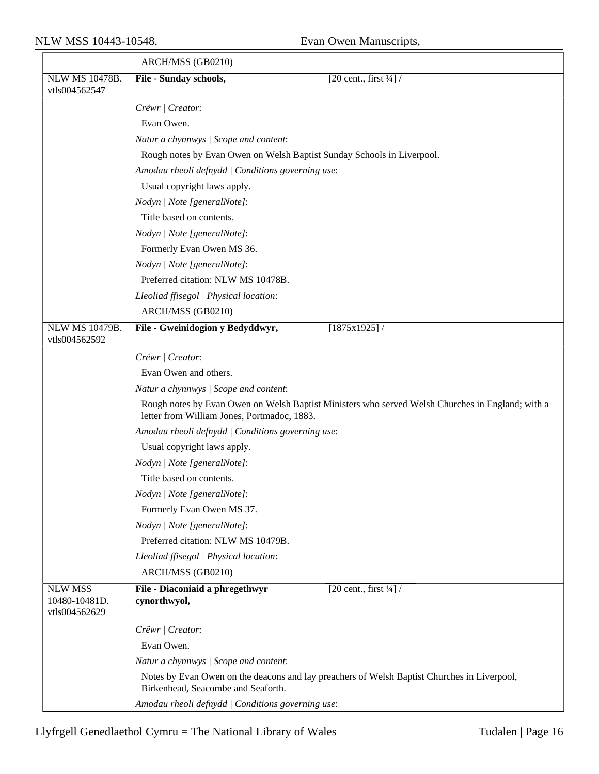|                                                  | ARCH/MSS (GB0210)                                                                                                                               |  |  |
|--------------------------------------------------|-------------------------------------------------------------------------------------------------------------------------------------------------|--|--|
| NLW MS 10478B.<br>vtls004562547                  | File - Sunday schools,<br>$[20 \text{ cent.}, \text{first } \frac{1}{4}]$ /                                                                     |  |  |
|                                                  | Crëwr   Creator:                                                                                                                                |  |  |
|                                                  | Evan Owen.                                                                                                                                      |  |  |
|                                                  | Natur a chynnwys / Scope and content:                                                                                                           |  |  |
|                                                  | Rough notes by Evan Owen on Welsh Baptist Sunday Schools in Liverpool.                                                                          |  |  |
|                                                  | Amodau rheoli defnydd   Conditions governing use:                                                                                               |  |  |
|                                                  | Usual copyright laws apply.                                                                                                                     |  |  |
|                                                  | Nodyn   Note [generalNote]:                                                                                                                     |  |  |
|                                                  | Title based on contents.                                                                                                                        |  |  |
|                                                  | Nodyn   Note [generalNote]:                                                                                                                     |  |  |
|                                                  | Formerly Evan Owen MS 36.                                                                                                                       |  |  |
|                                                  | Nodyn   Note [generalNote]:                                                                                                                     |  |  |
|                                                  | Preferred citation: NLW MS 10478B.                                                                                                              |  |  |
|                                                  | Lleoliad ffisegol   Physical location:                                                                                                          |  |  |
|                                                  | ARCH/MSS (GB0210)                                                                                                                               |  |  |
| <b>NLW MS 10479B.</b><br>vtls004562592           | File - Gweinidogion y Bedyddwyr,<br>$[1875x1925]$ /                                                                                             |  |  |
|                                                  | Crëwr   Creator:                                                                                                                                |  |  |
|                                                  | Evan Owen and others.                                                                                                                           |  |  |
|                                                  | Natur a chynnwys / Scope and content:                                                                                                           |  |  |
|                                                  | Rough notes by Evan Owen on Welsh Baptist Ministers who served Welsh Churches in England; with a<br>letter from William Jones, Portmadoc, 1883. |  |  |
|                                                  | Amodau rheoli defnydd   Conditions governing use:                                                                                               |  |  |
|                                                  | Usual copyright laws apply.                                                                                                                     |  |  |
|                                                  | Nodyn   Note [generalNote]:                                                                                                                     |  |  |
|                                                  | Title based on contents.                                                                                                                        |  |  |
|                                                  | Nodyn   Note [generalNote]:                                                                                                                     |  |  |
|                                                  | Formerly Evan Owen MS 37.                                                                                                                       |  |  |
|                                                  | Nodyn   Note [generalNote]:                                                                                                                     |  |  |
|                                                  | Preferred citation: NLW MS 10479B.                                                                                                              |  |  |
|                                                  | Lleoliad ffisegol   Physical location:                                                                                                          |  |  |
|                                                  | ARCH/MSS (GB0210)                                                                                                                               |  |  |
| <b>NLW MSS</b><br>10480-10481D.<br>vtls004562629 | [20 cent., first $\frac{1}{4}$ ] /<br>File - Diaconiaid a phregethwyr<br>cynorthwyol,                                                           |  |  |
|                                                  | Crëwr   Creator:                                                                                                                                |  |  |
|                                                  | Evan Owen.                                                                                                                                      |  |  |
|                                                  | Natur a chynnwys / Scope and content:                                                                                                           |  |  |
|                                                  | Notes by Evan Owen on the deacons and lay preachers of Welsh Baptist Churches in Liverpool,<br>Birkenhead, Seacombe and Seaforth.               |  |  |
|                                                  | Amodau rheoli defnydd   Conditions governing use:                                                                                               |  |  |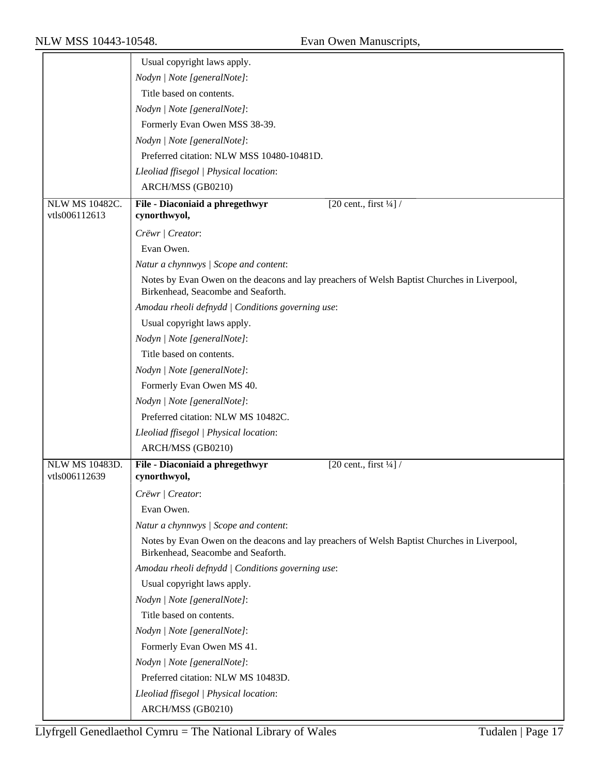|                                        | Usual copyright laws apply.                                                                                                       |
|----------------------------------------|-----------------------------------------------------------------------------------------------------------------------------------|
|                                        | Nodyn   Note [generalNote]:                                                                                                       |
|                                        | Title based on contents.                                                                                                          |
|                                        | Nodyn   Note [generalNote]:                                                                                                       |
|                                        | Formerly Evan Owen MSS 38-39.                                                                                                     |
|                                        | Nodyn   Note [generalNote]:                                                                                                       |
|                                        | Preferred citation: NLW MSS 10480-10481D.                                                                                         |
|                                        | Lleoliad ffisegol   Physical location:                                                                                            |
|                                        | ARCH/MSS (GB0210)                                                                                                                 |
| <b>NLW MS 10482C.</b><br>vtls006112613 | File - Diaconiaid a phregethwyr<br>[20 cent., first $\frac{1}{4}$ ] /<br>cynorthwyol,                                             |
|                                        | Crëwr   Creator:                                                                                                                  |
|                                        | Evan Owen.                                                                                                                        |
|                                        | Natur a chynnwys / Scope and content:                                                                                             |
|                                        | Notes by Evan Owen on the deacons and lay preachers of Welsh Baptist Churches in Liverpool,                                       |
|                                        | Birkenhead, Seacombe and Seaforth.                                                                                                |
|                                        | Amodau rheoli defnydd   Conditions governing use:                                                                                 |
|                                        | Usual copyright laws apply.                                                                                                       |
|                                        | Nodyn   Note [generalNote]:                                                                                                       |
|                                        | Title based on contents.                                                                                                          |
|                                        | Nodyn   Note [generalNote]:                                                                                                       |
|                                        | Formerly Evan Owen MS 40.                                                                                                         |
|                                        | Nodyn   Note [generalNote]:                                                                                                       |
|                                        | Preferred citation: NLW MS 10482C.                                                                                                |
|                                        | Lleoliad ffisegol   Physical location:                                                                                            |
|                                        | ARCH/MSS (GB0210)                                                                                                                 |
| <b>NLW MS 10483D.</b>                  | File - Diaconiaid a phregethwyr<br>[20 cent., first $\frac{1}{4}$ ] /                                                             |
| vtls006112639                          | cynorthwyol,                                                                                                                      |
|                                        | Crëwr   Creator:                                                                                                                  |
|                                        | Evan Owen.                                                                                                                        |
|                                        | Natur a chynnwys / Scope and content:                                                                                             |
|                                        | Notes by Evan Owen on the deacons and lay preachers of Welsh Baptist Churches in Liverpool,<br>Birkenhead, Seacombe and Seaforth. |
|                                        | Amodau rheoli defnydd   Conditions governing use:                                                                                 |
|                                        | Usual copyright laws apply.                                                                                                       |
|                                        | Nodyn   Note [generalNote]:                                                                                                       |
|                                        | Title based on contents.                                                                                                          |
|                                        | Nodyn   Note [generalNote]:                                                                                                       |
|                                        | Formerly Evan Owen MS 41.                                                                                                         |
|                                        | Nodyn   Note [generalNote]:                                                                                                       |
|                                        | Preferred citation: NLW MS 10483D.                                                                                                |
|                                        | Lleoliad ffisegol   Physical location:                                                                                            |
|                                        | ARCH/MSS (GB0210)                                                                                                                 |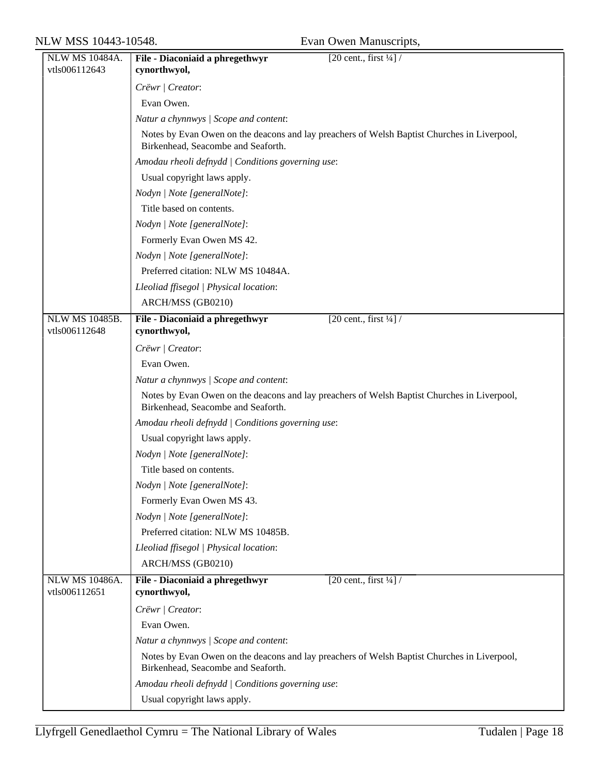| <b>NLW MS 10484A.</b> | File - Diaconiaid a phregethwyr<br>[20 cent., first $\frac{1}{4}$ ] /                                                             |  |
|-----------------------|-----------------------------------------------------------------------------------------------------------------------------------|--|
| vtls006112643         | cynorthwyol,                                                                                                                      |  |
|                       | Crëwr   Creator:                                                                                                                  |  |
|                       | Evan Owen.                                                                                                                        |  |
|                       | Natur a chynnwys / Scope and content:                                                                                             |  |
|                       | Notes by Evan Owen on the deacons and lay preachers of Welsh Baptist Churches in Liverpool,<br>Birkenhead, Seacombe and Seaforth. |  |
|                       | Amodau rheoli defnydd   Conditions governing use:                                                                                 |  |
|                       | Usual copyright laws apply.                                                                                                       |  |
|                       | Nodyn   Note [generalNote]:                                                                                                       |  |
|                       | Title based on contents.                                                                                                          |  |
|                       | Nodyn   Note [generalNote]:                                                                                                       |  |
|                       | Formerly Evan Owen MS 42.                                                                                                         |  |
|                       | Nodyn   Note [generalNote]:                                                                                                       |  |
|                       | Preferred citation: NLW MS 10484A.                                                                                                |  |
|                       | Lleoliad ffisegol   Physical location:                                                                                            |  |
|                       | ARCH/MSS (GB0210)                                                                                                                 |  |
| NLW MS 10485B.        | File - Diaconiaid a phregethwyr<br>$[20 \text{ cent.}, \text{first } \frac{1}{4}]$ /                                              |  |
| vtls006112648         | cynorthwyol,                                                                                                                      |  |
|                       | Crëwr   Creator:                                                                                                                  |  |
|                       | Evan Owen.                                                                                                                        |  |
|                       | Natur a chynnwys / Scope and content:                                                                                             |  |
|                       | Notes by Evan Owen on the deacons and lay preachers of Welsh Baptist Churches in Liverpool,<br>Birkenhead, Seacombe and Seaforth. |  |
|                       | Amodau rheoli defnydd   Conditions governing use:                                                                                 |  |
|                       | Usual copyright laws apply.                                                                                                       |  |
|                       | Nodyn   Note [generalNote]:                                                                                                       |  |
|                       | Title based on contents.                                                                                                          |  |
|                       | Nodyn   Note [generalNote]:                                                                                                       |  |
|                       | Formerly Evan Owen MS 43.                                                                                                         |  |
|                       | Nodyn   Note [generalNote]:                                                                                                       |  |
|                       | Preferred citation: NLW MS 10485B.                                                                                                |  |
|                       | Lleoliad ffisegol   Physical location:                                                                                            |  |
|                       | ARCH/MSS (GB0210)                                                                                                                 |  |
| NLW MS 10486A.        | File - Diaconiaid a phregethwyr<br>$\sqrt{20 \text{ cent.}, \text{first } \frac{1}{4}}$                                           |  |
| vtls006112651         | cynorthwyol,                                                                                                                      |  |
|                       | Crëwr   Creator:                                                                                                                  |  |
|                       | Evan Owen.                                                                                                                        |  |
|                       | Natur a chynnwys / Scope and content:                                                                                             |  |
|                       | Notes by Evan Owen on the deacons and lay preachers of Welsh Baptist Churches in Liverpool,<br>Birkenhead, Seacombe and Seaforth. |  |
|                       | Amodau rheoli defnydd   Conditions governing use:                                                                                 |  |
|                       | Usual copyright laws apply.                                                                                                       |  |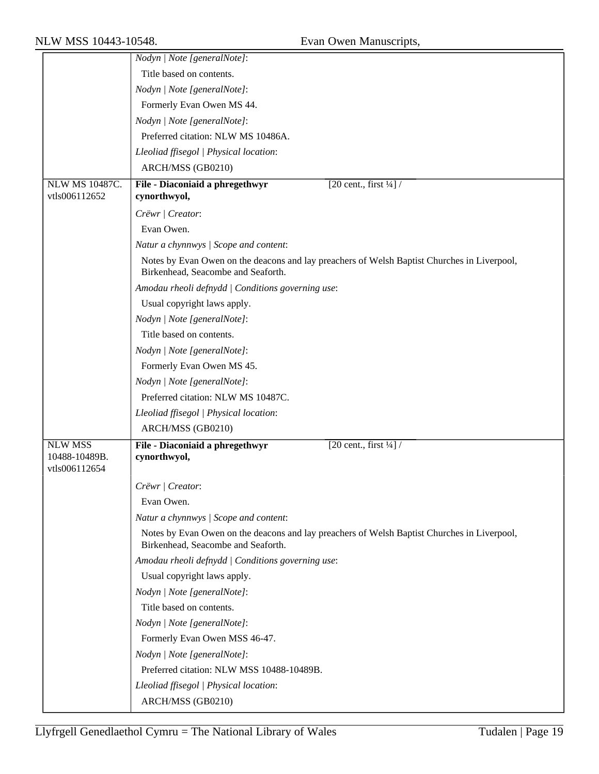|                                                  | Nodyn   Note [generalNote]:                                                                                                       |  |  |
|--------------------------------------------------|-----------------------------------------------------------------------------------------------------------------------------------|--|--|
|                                                  | Title based on contents.                                                                                                          |  |  |
|                                                  | Nodyn   Note [generalNote]:                                                                                                       |  |  |
|                                                  | Formerly Evan Owen MS 44.                                                                                                         |  |  |
|                                                  | Nodyn   Note [generalNote]:                                                                                                       |  |  |
|                                                  | Preferred citation: NLW MS 10486A.                                                                                                |  |  |
|                                                  | Lleoliad ffisegol   Physical location:                                                                                            |  |  |
|                                                  | ARCH/MSS (GB0210)                                                                                                                 |  |  |
| NLW MS 10487C.                                   | $\sqrt{20 \text{ cent.}, \text{first } \frac{1}{4}}$<br>File - Diaconiaid a phregethwyr                                           |  |  |
| vtls006112652                                    | cynorthwyol,                                                                                                                      |  |  |
|                                                  | Crëwr   Creator:                                                                                                                  |  |  |
|                                                  | Evan Owen.                                                                                                                        |  |  |
|                                                  | Natur a chynnwys / Scope and content:                                                                                             |  |  |
|                                                  | Notes by Evan Owen on the deacons and lay preachers of Welsh Baptist Churches in Liverpool,<br>Birkenhead, Seacombe and Seaforth. |  |  |
|                                                  | Amodau rheoli defnydd   Conditions governing use:                                                                                 |  |  |
|                                                  | Usual copyright laws apply.                                                                                                       |  |  |
|                                                  | Nodyn   Note [generalNote]:                                                                                                       |  |  |
|                                                  | Title based on contents.                                                                                                          |  |  |
|                                                  | Nodyn   Note [generalNote]:                                                                                                       |  |  |
|                                                  | Formerly Evan Owen MS 45.                                                                                                         |  |  |
|                                                  | Nodyn   Note [generalNote]:                                                                                                       |  |  |
|                                                  | Preferred citation: NLW MS 10487C.                                                                                                |  |  |
|                                                  | Lleoliad ffisegol   Physical location:                                                                                            |  |  |
|                                                  | ARCH/MSS (GB0210)                                                                                                                 |  |  |
| <b>NLW MSS</b><br>10488-10489B.<br>vtls006112654 | File - Diaconiaid a phregethwyr<br>[20 cent., first $\frac{1}{4}$ ] /<br>cynorthwyol,                                             |  |  |
|                                                  | Crëwr   Creator:                                                                                                                  |  |  |
|                                                  | Evan Owen.                                                                                                                        |  |  |
|                                                  | Natur a chynnwys / Scope and content:                                                                                             |  |  |
|                                                  | Notes by Evan Owen on the deacons and lay preachers of Welsh Baptist Churches in Liverpool,<br>Birkenhead, Seacombe and Seaforth. |  |  |
|                                                  | Amodau rheoli defnydd   Conditions governing use:                                                                                 |  |  |
|                                                  | Usual copyright laws apply.                                                                                                       |  |  |
|                                                  | Nodyn   Note [generalNote]:                                                                                                       |  |  |
|                                                  | Title based on contents.                                                                                                          |  |  |
|                                                  | Nodyn   Note [generalNote]:                                                                                                       |  |  |
|                                                  | Formerly Evan Owen MSS 46-47.                                                                                                     |  |  |
|                                                  | Nodyn   Note [generalNote]:                                                                                                       |  |  |
|                                                  | Preferred citation: NLW MSS 10488-10489B.                                                                                         |  |  |
|                                                  | Lleoliad ffisegol   Physical location:                                                                                            |  |  |
|                                                  | ARCH/MSS (GB0210)                                                                                                                 |  |  |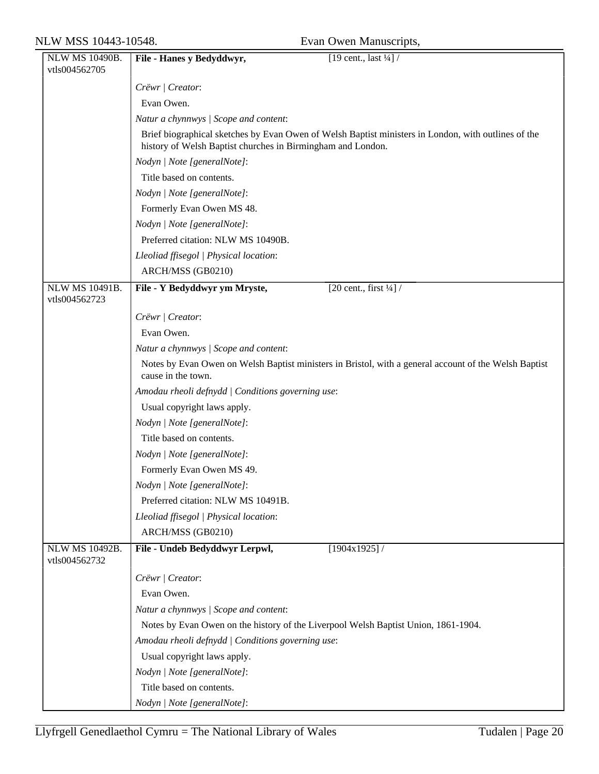| <b>NLW MS 10490B.</b>                  | [19 cent., last $\frac{1}{4}$ ] /<br>File - Hanes y Bedyddwyr,                                                                                                     |  |
|----------------------------------------|--------------------------------------------------------------------------------------------------------------------------------------------------------------------|--|
| vtls004562705                          |                                                                                                                                                                    |  |
|                                        | Crëwr / Creator:                                                                                                                                                   |  |
|                                        | Evan Owen.                                                                                                                                                         |  |
|                                        | Natur a chynnwys / Scope and content:                                                                                                                              |  |
|                                        | Brief biographical sketches by Evan Owen of Welsh Baptist ministers in London, with outlines of the<br>history of Welsh Baptist churches in Birmingham and London. |  |
|                                        | Nodyn   Note [generalNote]:                                                                                                                                        |  |
|                                        | Title based on contents.                                                                                                                                           |  |
|                                        | Nodyn   Note [generalNote]:                                                                                                                                        |  |
|                                        | Formerly Evan Owen MS 48.                                                                                                                                          |  |
|                                        | Nodyn   Note [generalNote]:                                                                                                                                        |  |
|                                        | Preferred citation: NLW MS 10490B.                                                                                                                                 |  |
|                                        | Lleoliad ffisegol   Physical location:                                                                                                                             |  |
|                                        | ARCH/MSS (GB0210)                                                                                                                                                  |  |
| <b>NLW MS 10491B.</b><br>vtls004562723 | [20 cent., first $\frac{1}{4}$ ] /<br>File - Y Bedyddwyr ym Mryste,                                                                                                |  |
|                                        | Crëwr   Creator:                                                                                                                                                   |  |
|                                        | Evan Owen.                                                                                                                                                         |  |
|                                        | Natur a chynnwys / Scope and content:                                                                                                                              |  |
|                                        | Notes by Evan Owen on Welsh Baptist ministers in Bristol, with a general account of the Welsh Baptist                                                              |  |
|                                        | cause in the town.                                                                                                                                                 |  |
|                                        | Amodau rheoli defnydd   Conditions governing use:                                                                                                                  |  |
|                                        | Usual copyright laws apply.                                                                                                                                        |  |
|                                        | Nodyn   Note [generalNote]:                                                                                                                                        |  |
|                                        | Title based on contents.                                                                                                                                           |  |
|                                        | Nodyn   Note [generalNote]:                                                                                                                                        |  |
|                                        | Formerly Evan Owen MS 49.                                                                                                                                          |  |
|                                        | Nodyn   Note [generalNote]:                                                                                                                                        |  |
|                                        | Preferred citation: NLW MS 10491B.                                                                                                                                 |  |
|                                        | Lleoliad ffisegol   Physical location:                                                                                                                             |  |
|                                        | ARCH/MSS (GB0210)                                                                                                                                                  |  |
| <b>NLW MS 10492B.</b><br>vtls004562732 | File - Undeb Bedyddwyr Lerpwl,<br>[1904x1925]                                                                                                                      |  |
|                                        | Crëwr   Creator:                                                                                                                                                   |  |
|                                        | Evan Owen.                                                                                                                                                         |  |
|                                        | Natur a chynnwys / Scope and content:                                                                                                                              |  |
|                                        | Notes by Evan Owen on the history of the Liverpool Welsh Baptist Union, 1861-1904.                                                                                 |  |
|                                        | Amodau rheoli defnydd   Conditions governing use:                                                                                                                  |  |
|                                        | Usual copyright laws apply.                                                                                                                                        |  |
|                                        | Nodyn   Note [generalNote]:                                                                                                                                        |  |
|                                        | Title based on contents.                                                                                                                                           |  |
|                                        | Nodyn   Note [generalNote]:                                                                                                                                        |  |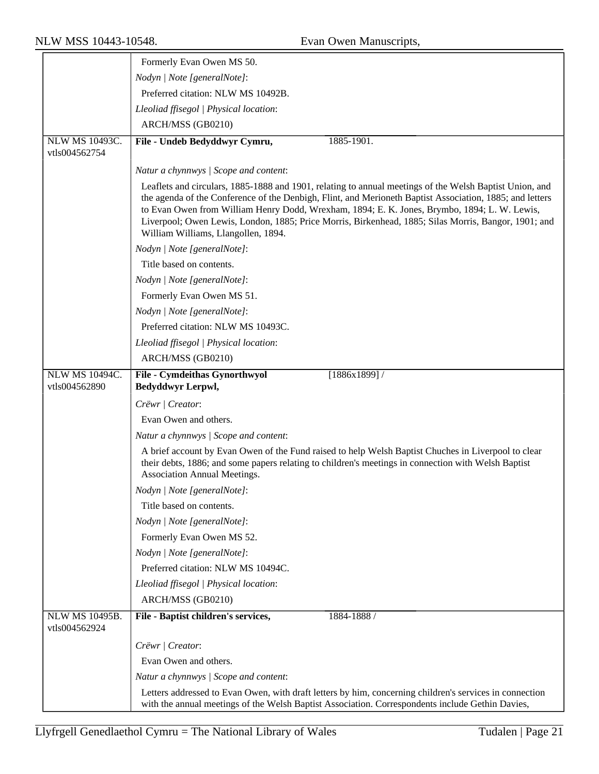|                                        | Formerly Evan Owen MS 50.                                                                                                                                                                                                                                                                                                                                                                                                                                          |  |  |
|----------------------------------------|--------------------------------------------------------------------------------------------------------------------------------------------------------------------------------------------------------------------------------------------------------------------------------------------------------------------------------------------------------------------------------------------------------------------------------------------------------------------|--|--|
|                                        | Nodyn   Note [generalNote]:                                                                                                                                                                                                                                                                                                                                                                                                                                        |  |  |
|                                        | Preferred citation: NLW MS 10492B.                                                                                                                                                                                                                                                                                                                                                                                                                                 |  |  |
|                                        |                                                                                                                                                                                                                                                                                                                                                                                                                                                                    |  |  |
|                                        | Lleoliad ffisegol   Physical location:                                                                                                                                                                                                                                                                                                                                                                                                                             |  |  |
|                                        | ARCH/MSS (GB0210)                                                                                                                                                                                                                                                                                                                                                                                                                                                  |  |  |
| NLW MS 10493C.<br>vtls004562754        | File - Undeb Bedyddwyr Cymru,<br>1885-1901.                                                                                                                                                                                                                                                                                                                                                                                                                        |  |  |
|                                        | Natur a chynnwys / Scope and content:                                                                                                                                                                                                                                                                                                                                                                                                                              |  |  |
|                                        | Leaflets and circulars, 1885-1888 and 1901, relating to annual meetings of the Welsh Baptist Union, and<br>the agenda of the Conference of the Denbigh, Flint, and Merioneth Baptist Association, 1885; and letters<br>to Evan Owen from William Henry Dodd, Wrexham, 1894; E. K. Jones, Brymbo, 1894; L. W. Lewis,<br>Liverpool; Owen Lewis, London, 1885; Price Morris, Birkenhead, 1885; Silas Morris, Bangor, 1901; and<br>William Williams, Llangollen, 1894. |  |  |
|                                        | Nodyn   Note [generalNote]:                                                                                                                                                                                                                                                                                                                                                                                                                                        |  |  |
|                                        | Title based on contents.                                                                                                                                                                                                                                                                                                                                                                                                                                           |  |  |
|                                        | Nodyn   Note [generalNote]:                                                                                                                                                                                                                                                                                                                                                                                                                                        |  |  |
|                                        | Formerly Evan Owen MS 51.                                                                                                                                                                                                                                                                                                                                                                                                                                          |  |  |
|                                        | Nodyn   Note [generalNote]:                                                                                                                                                                                                                                                                                                                                                                                                                                        |  |  |
|                                        | Preferred citation: NLW MS 10493C.                                                                                                                                                                                                                                                                                                                                                                                                                                 |  |  |
|                                        | Lleoliad ffisegol   Physical location:                                                                                                                                                                                                                                                                                                                                                                                                                             |  |  |
|                                        | ARCH/MSS (GB0210)                                                                                                                                                                                                                                                                                                                                                                                                                                                  |  |  |
| NLW MS 10494C.                         | <b>File - Cymdeithas Gynorthwyol</b><br>$[1886x1899]$ /                                                                                                                                                                                                                                                                                                                                                                                                            |  |  |
| vtls004562890                          | Bedyddwyr Lerpwl,                                                                                                                                                                                                                                                                                                                                                                                                                                                  |  |  |
|                                        | Crëwr   Creator:                                                                                                                                                                                                                                                                                                                                                                                                                                                   |  |  |
|                                        | Evan Owen and others.                                                                                                                                                                                                                                                                                                                                                                                                                                              |  |  |
|                                        | Natur a chynnwys / Scope and content:                                                                                                                                                                                                                                                                                                                                                                                                                              |  |  |
|                                        | A brief account by Evan Owen of the Fund raised to help Welsh Baptist Chuches in Liverpool to clear<br>their debts, 1886; and some papers relating to children's meetings in connection with Welsh Baptist<br>Association Annual Meetings.                                                                                                                                                                                                                         |  |  |
|                                        | Nodyn   Note [generalNote]:                                                                                                                                                                                                                                                                                                                                                                                                                                        |  |  |
|                                        | Title based on contents.                                                                                                                                                                                                                                                                                                                                                                                                                                           |  |  |
|                                        | Nodyn   Note [generalNote]:                                                                                                                                                                                                                                                                                                                                                                                                                                        |  |  |
|                                        | Formerly Evan Owen MS 52.                                                                                                                                                                                                                                                                                                                                                                                                                                          |  |  |
|                                        | Nodyn   Note [generalNote]:                                                                                                                                                                                                                                                                                                                                                                                                                                        |  |  |
|                                        | Preferred citation: NLW MS 10494C.                                                                                                                                                                                                                                                                                                                                                                                                                                 |  |  |
|                                        | Lleoliad ffisegol   Physical location:                                                                                                                                                                                                                                                                                                                                                                                                                             |  |  |
|                                        | ARCH/MSS (GB0210)                                                                                                                                                                                                                                                                                                                                                                                                                                                  |  |  |
| <b>NLW MS 10495B.</b><br>vtls004562924 | File - Baptist children's services,<br>1884-1888 /                                                                                                                                                                                                                                                                                                                                                                                                                 |  |  |
|                                        | Crëwr   Creator:                                                                                                                                                                                                                                                                                                                                                                                                                                                   |  |  |
|                                        | Evan Owen and others.                                                                                                                                                                                                                                                                                                                                                                                                                                              |  |  |
|                                        | Natur a chynnwys / Scope and content:                                                                                                                                                                                                                                                                                                                                                                                                                              |  |  |
|                                        | Letters addressed to Evan Owen, with draft letters by him, concerning children's services in connection                                                                                                                                                                                                                                                                                                                                                            |  |  |
|                                        | with the annual meetings of the Welsh Baptist Association. Correspondents include Gethin Davies,                                                                                                                                                                                                                                                                                                                                                                   |  |  |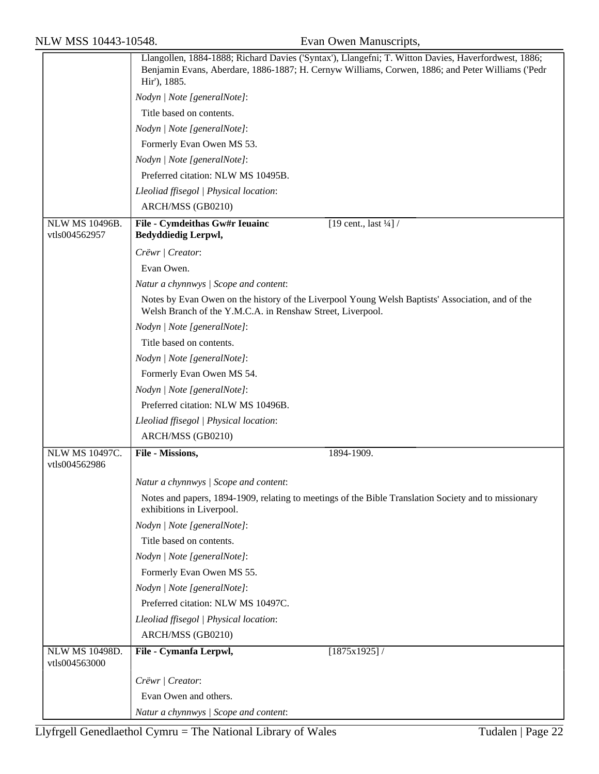| NLW MSS 10443-10548.                   |                                                              | Evan Owen Manuscripts,                                                                                                                                                                                  |
|----------------------------------------|--------------------------------------------------------------|---------------------------------------------------------------------------------------------------------------------------------------------------------------------------------------------------------|
|                                        | Hir'), 1885.                                                 | Llangollen, 1884-1888; Richard Davies ('Syntax'), Llangefni; T. Witton Davies, Haverfordwest, 1886;<br>Benjamin Evans, Aberdare, 1886-1887; H. Cernyw Williams, Corwen, 1886; and Peter Williams ('Pedr |
|                                        | Nodyn   Note [generalNote]:                                  |                                                                                                                                                                                                         |
|                                        | Title based on contents.                                     |                                                                                                                                                                                                         |
|                                        | Nodyn   Note [generalNote]:                                  |                                                                                                                                                                                                         |
|                                        | Formerly Evan Owen MS 53.                                    |                                                                                                                                                                                                         |
|                                        | Nodyn   Note [generalNote]:                                  |                                                                                                                                                                                                         |
|                                        | Preferred citation: NLW MS 10495B.                           |                                                                                                                                                                                                         |
|                                        | Lleoliad ffisegol   Physical location:                       |                                                                                                                                                                                                         |
|                                        | ARCH/MSS (GB0210)                                            |                                                                                                                                                                                                         |
| <b>NLW MS 10496B.</b><br>vtls004562957 | File - Cymdeithas Gw#r Ieuainc<br><b>Bedyddiedig Lerpwl,</b> | [19 cent., last $\frac{1}{4}$ ] /                                                                                                                                                                       |
|                                        | Crëwr   Creator:                                             |                                                                                                                                                                                                         |
|                                        | Evan Owen.                                                   |                                                                                                                                                                                                         |
|                                        | Natur a chynnwys / Scope and content:                        |                                                                                                                                                                                                         |
|                                        | Welsh Branch of the Y.M.C.A. in Renshaw Street, Liverpool.   | Notes by Evan Owen on the history of the Liverpool Young Welsh Baptists' Association, and of the                                                                                                        |
|                                        | Nodyn   Note [generalNote]:                                  |                                                                                                                                                                                                         |
|                                        | Title based on contents.                                     |                                                                                                                                                                                                         |
|                                        | Nodyn   Note [generalNote]:                                  |                                                                                                                                                                                                         |
|                                        | Formerly Evan Owen MS 54.                                    |                                                                                                                                                                                                         |
|                                        | Nodyn   Note [generalNote]:                                  |                                                                                                                                                                                                         |
|                                        | Preferred citation: NLW MS 10496B.                           |                                                                                                                                                                                                         |
|                                        | Lleoliad ffisegol   Physical location:                       |                                                                                                                                                                                                         |
|                                        | ARCH/MSS (GB0210)                                            |                                                                                                                                                                                                         |
| NLW MS 10497C.<br>vtls004562986        | File - Missions,                                             | 1894-1909.                                                                                                                                                                                              |
|                                        | Natur a chynnwys / Scope and content:                        |                                                                                                                                                                                                         |
|                                        | exhibitions in Liverpool.                                    | Notes and papers, 1894-1909, relating to meetings of the Bible Translation Society and to missionary                                                                                                    |
|                                        | Nodyn   Note [generalNote]:                                  |                                                                                                                                                                                                         |
|                                        | Title based on contents.                                     |                                                                                                                                                                                                         |
|                                        | Nodyn   Note [generalNote]:                                  |                                                                                                                                                                                                         |
|                                        | Formerly Evan Owen MS 55.                                    |                                                                                                                                                                                                         |
|                                        | Nodyn   Note [generalNote]:                                  |                                                                                                                                                                                                         |
|                                        | Preferred citation: NLW MS 10497C.                           |                                                                                                                                                                                                         |
|                                        | Lleoliad ffisegol   Physical location:                       |                                                                                                                                                                                                         |
|                                        | ARCH/MSS (GB0210)                                            |                                                                                                                                                                                                         |
| <b>NLW MS 10498D.</b>                  | File - Cymanfa Lerpwl,                                       | [1875x1925]/                                                                                                                                                                                            |
| vtls004563000                          |                                                              |                                                                                                                                                                                                         |
|                                        | Crëwr   Creator:                                             |                                                                                                                                                                                                         |
|                                        | Evan Owen and others.                                        |                                                                                                                                                                                                         |
|                                        | Natur a chynnwys / Scope and content:                        |                                                                                                                                                                                                         |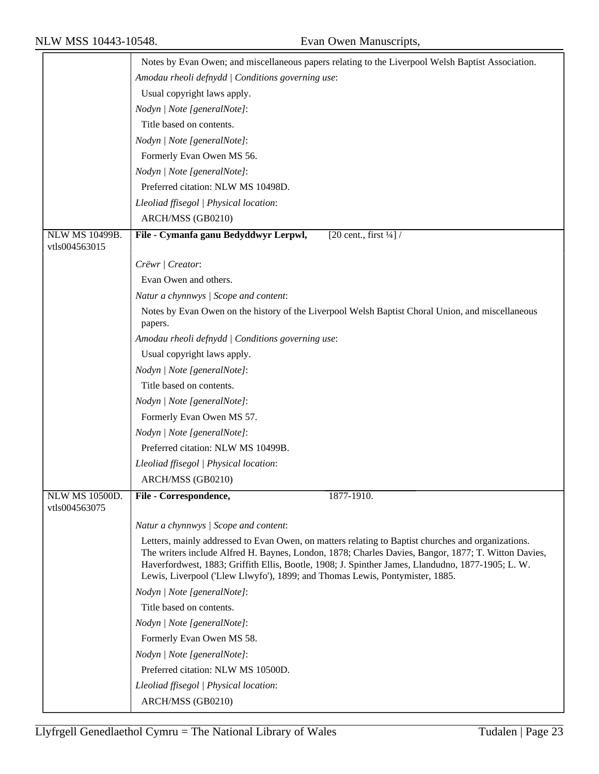|                                 | Notes by Evan Owen; and miscellaneous papers relating to the Liverpool Welsh Baptist Association.                                                                                                                                                                                                                                                                                              |  |
|---------------------------------|------------------------------------------------------------------------------------------------------------------------------------------------------------------------------------------------------------------------------------------------------------------------------------------------------------------------------------------------------------------------------------------------|--|
|                                 | Amodau rheoli defnydd   Conditions governing use:                                                                                                                                                                                                                                                                                                                                              |  |
|                                 | Usual copyright laws apply.                                                                                                                                                                                                                                                                                                                                                                    |  |
|                                 | Nodyn   Note [generalNote]:                                                                                                                                                                                                                                                                                                                                                                    |  |
|                                 | Title based on contents.                                                                                                                                                                                                                                                                                                                                                                       |  |
|                                 | Nodyn   Note [generalNote]:                                                                                                                                                                                                                                                                                                                                                                    |  |
|                                 | Formerly Evan Owen MS 56.                                                                                                                                                                                                                                                                                                                                                                      |  |
|                                 | Nodyn   Note [generalNote]:                                                                                                                                                                                                                                                                                                                                                                    |  |
|                                 | Preferred citation: NLW MS 10498D.                                                                                                                                                                                                                                                                                                                                                             |  |
|                                 | Lleoliad ffisegol   Physical location:                                                                                                                                                                                                                                                                                                                                                         |  |
|                                 | ARCH/MSS (GB0210)                                                                                                                                                                                                                                                                                                                                                                              |  |
| NLW MS 10499B.<br>vtls004563015 | File - Cymanfa ganu Bedyddwyr Lerpwl,<br>[20 cent., first $\frac{1}{4}$ ] /                                                                                                                                                                                                                                                                                                                    |  |
|                                 | Crëwr   Creator:                                                                                                                                                                                                                                                                                                                                                                               |  |
|                                 | Evan Owen and others.                                                                                                                                                                                                                                                                                                                                                                          |  |
|                                 | Natur a chynnwys / Scope and content:                                                                                                                                                                                                                                                                                                                                                          |  |
|                                 | Notes by Evan Owen on the history of the Liverpool Welsh Baptist Choral Union, and miscellaneous                                                                                                                                                                                                                                                                                               |  |
|                                 | papers.                                                                                                                                                                                                                                                                                                                                                                                        |  |
|                                 | Amodau rheoli defnydd   Conditions governing use:                                                                                                                                                                                                                                                                                                                                              |  |
|                                 | Usual copyright laws apply.                                                                                                                                                                                                                                                                                                                                                                    |  |
|                                 | Nodyn   Note [generalNote]:                                                                                                                                                                                                                                                                                                                                                                    |  |
|                                 | Title based on contents.                                                                                                                                                                                                                                                                                                                                                                       |  |
|                                 | Nodyn   Note [generalNote]:                                                                                                                                                                                                                                                                                                                                                                    |  |
|                                 | Formerly Evan Owen MS 57.                                                                                                                                                                                                                                                                                                                                                                      |  |
|                                 | Nodyn   Note [generalNote]:                                                                                                                                                                                                                                                                                                                                                                    |  |
|                                 | Preferred citation: NLW MS 10499B.                                                                                                                                                                                                                                                                                                                                                             |  |
|                                 | Lleoliad ffisegol   Physical location:                                                                                                                                                                                                                                                                                                                                                         |  |
|                                 | ARCH/MSS (GB0210)                                                                                                                                                                                                                                                                                                                                                                              |  |
| NLW MS 10500D.<br>vtls004563075 | 1877-1910.<br>File - Correspondence,                                                                                                                                                                                                                                                                                                                                                           |  |
|                                 | Natur a chynnwys / Scope and content:                                                                                                                                                                                                                                                                                                                                                          |  |
|                                 | Letters, mainly addressed to Evan Owen, on matters relating to Baptist churches and organizations.<br>The writers include Alfred H. Baynes, London, 1878; Charles Davies, Bangor, 1877; T. Witton Davies,<br>Haverfordwest, 1883; Griffith Ellis, Bootle, 1908; J. Spinther James, Llandudno, 1877-1905; L. W.<br>Lewis, Liverpool ('Llew Llwyfo'), 1899; and Thomas Lewis, Pontymister, 1885. |  |
|                                 | Nodyn   Note [generalNote]:                                                                                                                                                                                                                                                                                                                                                                    |  |
|                                 | Title based on contents.                                                                                                                                                                                                                                                                                                                                                                       |  |
|                                 | Nodyn   Note [generalNote]:                                                                                                                                                                                                                                                                                                                                                                    |  |
|                                 | Formerly Evan Owen MS 58.                                                                                                                                                                                                                                                                                                                                                                      |  |
|                                 | Nodyn   Note [generalNote]:                                                                                                                                                                                                                                                                                                                                                                    |  |
|                                 | Preferred citation: NLW MS 10500D.                                                                                                                                                                                                                                                                                                                                                             |  |
|                                 | Lleoliad ffisegol   Physical location:                                                                                                                                                                                                                                                                                                                                                         |  |
|                                 | ARCH/MSS (GB0210)                                                                                                                                                                                                                                                                                                                                                                              |  |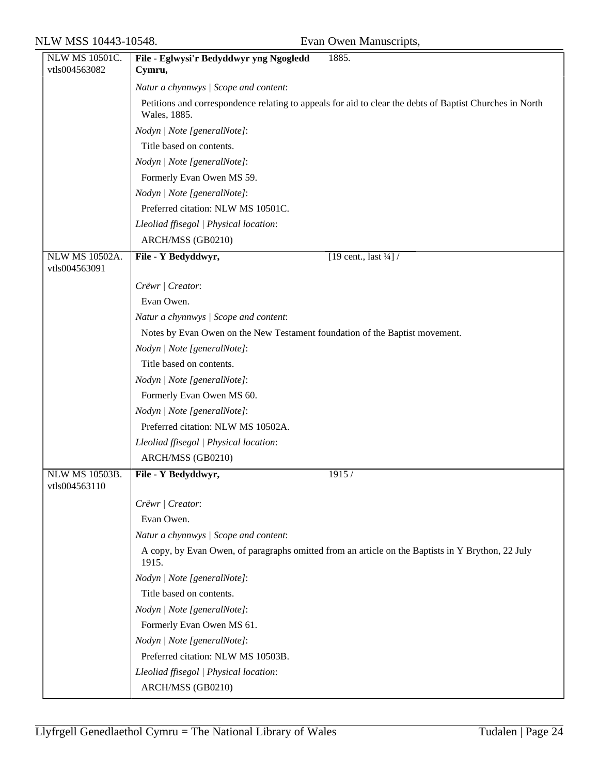| NLW MS 10501C.<br>vtls004563082 | File - Eglwysi'r Bedyddwyr yng Ngogledd<br>1885.<br>Cymru,                                                               |
|---------------------------------|--------------------------------------------------------------------------------------------------------------------------|
|                                 |                                                                                                                          |
|                                 | Natur a chynnwys / Scope and content:                                                                                    |
|                                 | Petitions and correspondence relating to appeals for aid to clear the debts of Baptist Churches in North<br>Wales, 1885. |
|                                 | Nodyn   Note [generalNote]:                                                                                              |
|                                 | Title based on contents.                                                                                                 |
|                                 | Nodyn   Note [generalNote]:                                                                                              |
|                                 | Formerly Evan Owen MS 59.                                                                                                |
|                                 | Nodyn   Note [generalNote]:                                                                                              |
|                                 | Preferred citation: NLW MS 10501C.                                                                                       |
|                                 | Lleoliad ffisegol   Physical location:                                                                                   |
|                                 | ARCH/MSS (GB0210)                                                                                                        |
| <b>NLW MS 10502A.</b>           | [19 cent., last $\frac{1}{4}$ ] /<br>File - Y Bedyddwyr,                                                                 |
| vtls004563091                   |                                                                                                                          |
|                                 | Crëwr   Creator:                                                                                                         |
|                                 | Evan Owen.                                                                                                               |
|                                 | Natur a chynnwys / Scope and content:                                                                                    |
|                                 | Notes by Evan Owen on the New Testament foundation of the Baptist movement.                                              |
|                                 | Nodyn   Note [generalNote]:                                                                                              |
|                                 | Title based on contents.                                                                                                 |
|                                 | Nodyn   Note [generalNote]:                                                                                              |
|                                 | Formerly Evan Owen MS 60.                                                                                                |
|                                 | Nodyn   Note [generalNote]:                                                                                              |
|                                 | Preferred citation: NLW MS 10502A.                                                                                       |
|                                 | Lleoliad ffisegol   Physical location:                                                                                   |
|                                 | ARCH/MSS (GB0210)                                                                                                        |
| NLW MS 10503B.<br>vtls004563110 | File - Y Bedyddwyr,<br>1915 /                                                                                            |
|                                 | Crëwr   Creator:                                                                                                         |
|                                 | Evan Owen.                                                                                                               |
|                                 | Natur a chynnwys / Scope and content:                                                                                    |
|                                 | A copy, by Evan Owen, of paragraphs omitted from an article on the Baptists in Y Brython, 22 July<br>1915.               |
|                                 | Nodyn   Note [generalNote]:                                                                                              |
|                                 | Title based on contents.                                                                                                 |
|                                 | Nodyn   Note [generalNote]:                                                                                              |
|                                 | Formerly Evan Owen MS 61.                                                                                                |
|                                 | Nodyn   Note [generalNote]:                                                                                              |
|                                 | Preferred citation: NLW MS 10503B.                                                                                       |
|                                 | Lleoliad ffisegol   Physical location:                                                                                   |
|                                 | ARCH/MSS (GB0210)                                                                                                        |
|                                 |                                                                                                                          |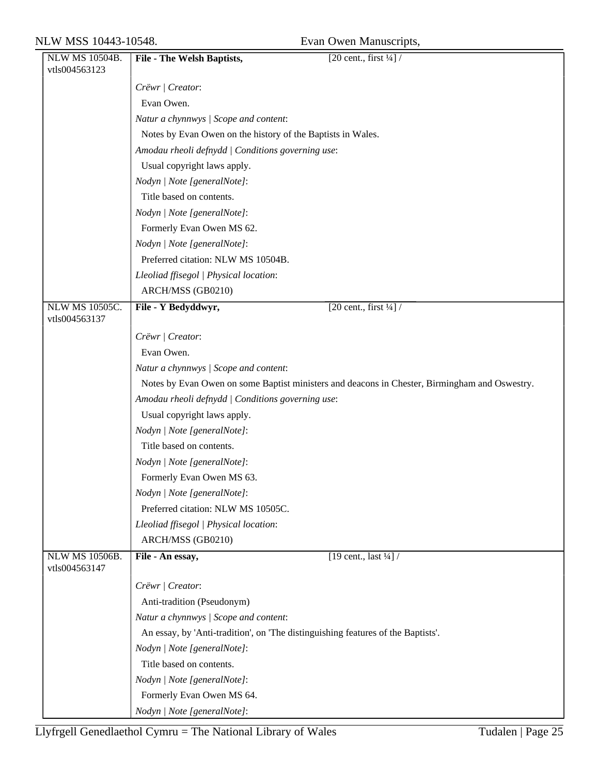| NLW MS 10504B.        | <b>File - The Welsh Baptists,</b>                                                | [20 cent., first $\frac{1}{4}$ ] /                                                            |
|-----------------------|----------------------------------------------------------------------------------|-----------------------------------------------------------------------------------------------|
| vtls004563123         |                                                                                  |                                                                                               |
|                       | Crëwr   Creator:                                                                 |                                                                                               |
|                       | Evan Owen.                                                                       |                                                                                               |
|                       | Natur a chynnwys / Scope and content:                                            |                                                                                               |
|                       | Notes by Evan Owen on the history of the Baptists in Wales.                      |                                                                                               |
|                       | Amodau rheoli defnydd   Conditions governing use:                                |                                                                                               |
|                       | Usual copyright laws apply.                                                      |                                                                                               |
|                       | Nodyn   Note [generalNote]:                                                      |                                                                                               |
|                       | Title based on contents.                                                         |                                                                                               |
|                       | Nodyn   Note [generalNote]:                                                      |                                                                                               |
|                       | Formerly Evan Owen MS 62.                                                        |                                                                                               |
|                       | Nodyn   Note [generalNote]:                                                      |                                                                                               |
|                       | Preferred citation: NLW MS 10504B.                                               |                                                                                               |
|                       | Lleoliad ffisegol   Physical location:                                           |                                                                                               |
|                       | ARCH/MSS (GB0210)                                                                |                                                                                               |
| <b>NLW MS 10505C.</b> | File - Y Bedyddwyr,                                                              | [20 cent., first $\frac{1}{4}$ ] /                                                            |
| vtls004563137         |                                                                                  |                                                                                               |
|                       | Crëwr   Creator:                                                                 |                                                                                               |
|                       | Evan Owen.                                                                       |                                                                                               |
|                       | Natur a chynnwys / Scope and content:                                            |                                                                                               |
|                       |                                                                                  | Notes by Evan Owen on some Baptist ministers and deacons in Chester, Birmingham and Oswestry. |
|                       | Amodau rheoli defnydd   Conditions governing use:                                |                                                                                               |
|                       | Usual copyright laws apply.                                                      |                                                                                               |
|                       | Nodyn   Note [generalNote]:                                                      |                                                                                               |
|                       | Title based on contents.                                                         |                                                                                               |
|                       | Nodyn   Note [generalNote]:                                                      |                                                                                               |
|                       | Formerly Evan Owen MS 63.                                                        |                                                                                               |
|                       | Nodyn   Note [generalNote]:                                                      |                                                                                               |
|                       | Preferred citation: NLW MS 10505C.                                               |                                                                                               |
|                       | Lleoliad ffisegol   Physical location:                                           |                                                                                               |
|                       | ARCH/MSS (GB0210)                                                                |                                                                                               |
| <b>NLW MS 10506B.</b> | File - An essay,                                                                 | [19 cent., last $\frac{1}{4}$ ] /                                                             |
| vtls004563147         |                                                                                  |                                                                                               |
|                       | Crëwr   Creator:                                                                 |                                                                                               |
|                       | Anti-tradition (Pseudonym)                                                       |                                                                                               |
|                       | Natur a chynnwys / Scope and content:                                            |                                                                                               |
|                       | An essay, by 'Anti-tradition', on 'The distinguishing features of the Baptists'. |                                                                                               |
|                       | Nodyn   Note [generalNote]:                                                      |                                                                                               |
|                       | Title based on contents.                                                         |                                                                                               |
|                       | Nodyn   Note [generalNote]:                                                      |                                                                                               |
|                       | Formerly Evan Owen MS 64.                                                        |                                                                                               |
|                       | Nodyn   Note [generalNote]:                                                      |                                                                                               |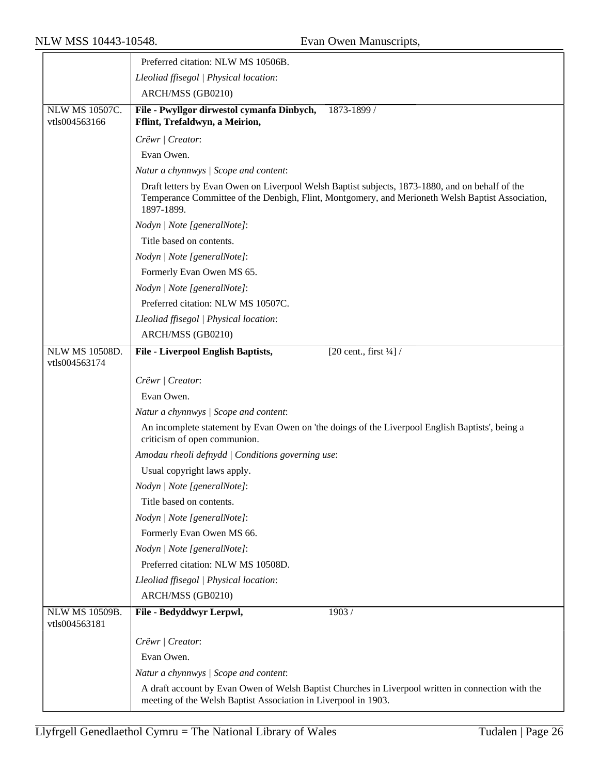|                                        | Preferred citation: NLW MS 10506B.                                                                                                                                                                                |  |
|----------------------------------------|-------------------------------------------------------------------------------------------------------------------------------------------------------------------------------------------------------------------|--|
|                                        | Lleoliad ffisegol   Physical location:                                                                                                                                                                            |  |
|                                        | ARCH/MSS (GB0210)                                                                                                                                                                                                 |  |
| <b>NLW MS 10507C.</b><br>vtls004563166 | File - Pwyllgor dirwestol cymanfa Dinbych,<br>1873-1899 /<br>Fflint, Trefaldwyn, a Meirion,                                                                                                                       |  |
|                                        | Crëwr   Creator:                                                                                                                                                                                                  |  |
|                                        | Evan Owen.                                                                                                                                                                                                        |  |
|                                        | Natur a chynnwys / Scope and content:                                                                                                                                                                             |  |
|                                        | Draft letters by Evan Owen on Liverpool Welsh Baptist subjects, 1873-1880, and on behalf of the<br>Temperance Committee of the Denbigh, Flint, Montgomery, and Merioneth Welsh Baptist Association,<br>1897-1899. |  |
|                                        | Nodyn   Note [generalNote]:                                                                                                                                                                                       |  |
|                                        | Title based on contents.                                                                                                                                                                                          |  |
|                                        | Nodyn   Note [generalNote]:                                                                                                                                                                                       |  |
|                                        | Formerly Evan Owen MS 65.                                                                                                                                                                                         |  |
|                                        | Nodyn   Note [generalNote]:                                                                                                                                                                                       |  |
|                                        | Preferred citation: NLW MS 10507C.                                                                                                                                                                                |  |
|                                        | Lleoliad ffisegol   Physical location:                                                                                                                                                                            |  |
|                                        | ARCH/MSS (GB0210)                                                                                                                                                                                                 |  |
| <b>NLW MS 10508D.</b><br>vtls004563174 | <b>File - Liverpool English Baptists,</b><br>[20 cent., first $\frac{1}{4}$ ] /                                                                                                                                   |  |
|                                        | Crëwr   Creator:                                                                                                                                                                                                  |  |
|                                        | Evan Owen.                                                                                                                                                                                                        |  |
|                                        | Natur a chynnwys / Scope and content:                                                                                                                                                                             |  |
|                                        | An incomplete statement by Evan Owen on 'the doings of the Liverpool English Baptists', being a<br>criticism of open communion.                                                                                   |  |
|                                        | Amodau rheoli defnydd / Conditions governing use:                                                                                                                                                                 |  |
|                                        | Usual copyright laws apply.                                                                                                                                                                                       |  |
|                                        | Nodyn   Note [generalNote]:                                                                                                                                                                                       |  |
|                                        | Title based on contents.                                                                                                                                                                                          |  |
|                                        | Nodyn   Note [generalNote]:                                                                                                                                                                                       |  |
|                                        | Formerly Evan Owen MS 66.                                                                                                                                                                                         |  |
|                                        | Nodyn   Note [generalNote]:                                                                                                                                                                                       |  |
|                                        | Preferred citation: NLW MS 10508D.                                                                                                                                                                                |  |
|                                        | Lleoliad ffisegol   Physical location:                                                                                                                                                                            |  |
|                                        | ARCH/MSS (GB0210)                                                                                                                                                                                                 |  |
| <b>NLW MS 10509B.</b><br>vtls004563181 | File - Bedyddwyr Lerpwl,<br>1903/                                                                                                                                                                                 |  |
|                                        | Crëwr   Creator:                                                                                                                                                                                                  |  |
|                                        | Evan Owen.                                                                                                                                                                                                        |  |
|                                        | Natur a chynnwys / Scope and content:                                                                                                                                                                             |  |
|                                        | A draft account by Evan Owen of Welsh Baptist Churches in Liverpool written in connection with the                                                                                                                |  |
|                                        | meeting of the Welsh Baptist Association in Liverpool in 1903.                                                                                                                                                    |  |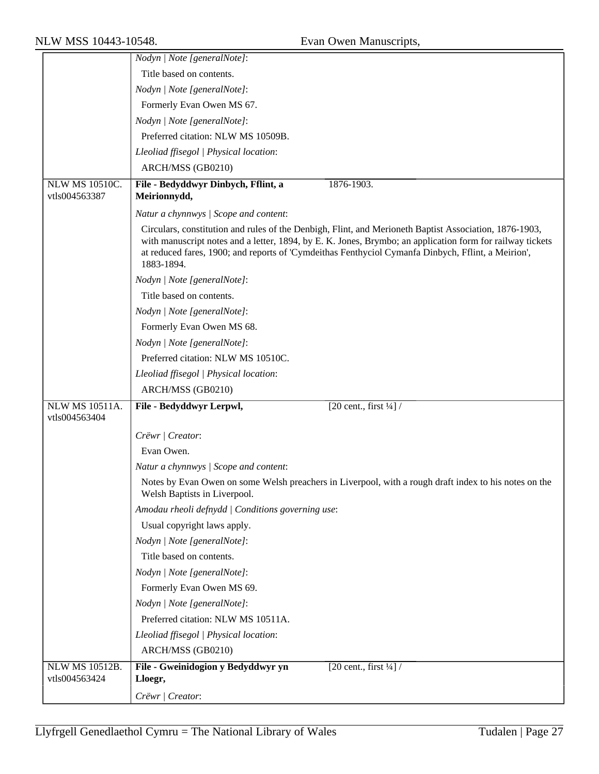|                                        | Nodyn   Note [generalNote]:                                                                                                                                                                                                                                                                                                             |
|----------------------------------------|-----------------------------------------------------------------------------------------------------------------------------------------------------------------------------------------------------------------------------------------------------------------------------------------------------------------------------------------|
|                                        | Title based on contents.                                                                                                                                                                                                                                                                                                                |
|                                        | Nodyn   Note [generalNote]:                                                                                                                                                                                                                                                                                                             |
|                                        | Formerly Evan Owen MS 67.                                                                                                                                                                                                                                                                                                               |
|                                        | Nodyn   Note [generalNote]:                                                                                                                                                                                                                                                                                                             |
|                                        | Preferred citation: NLW MS 10509B.                                                                                                                                                                                                                                                                                                      |
|                                        | Lleoliad ffisegol   Physical location:                                                                                                                                                                                                                                                                                                  |
|                                        | ARCH/MSS (GB0210)                                                                                                                                                                                                                                                                                                                       |
| <b>NLW MS 10510C.</b>                  | 1876-1903.<br>File - Bedyddwyr Dinbych, Fflint, a                                                                                                                                                                                                                                                                                       |
| vtls004563387                          | Meirionnydd,                                                                                                                                                                                                                                                                                                                            |
|                                        | Natur a chynnwys / Scope and content:                                                                                                                                                                                                                                                                                                   |
|                                        | Circulars, constitution and rules of the Denbigh, Flint, and Merioneth Baptist Association, 1876-1903,<br>with manuscript notes and a letter, 1894, by E. K. Jones, Brymbo; an application form for railway tickets<br>at reduced fares, 1900; and reports of 'Cymdeithas Fenthyciol Cymanfa Dinbych, Fflint, a Meirion',<br>1883-1894. |
|                                        | Nodyn   Note [generalNote]:                                                                                                                                                                                                                                                                                                             |
|                                        | Title based on contents.                                                                                                                                                                                                                                                                                                                |
|                                        | Nodyn   Note [generalNote]:                                                                                                                                                                                                                                                                                                             |
|                                        | Formerly Evan Owen MS 68.                                                                                                                                                                                                                                                                                                               |
|                                        | Nodyn   Note [generalNote]:                                                                                                                                                                                                                                                                                                             |
|                                        | Preferred citation: NLW MS 10510C.                                                                                                                                                                                                                                                                                                      |
|                                        | Lleoliad ffisegol   Physical location:                                                                                                                                                                                                                                                                                                  |
|                                        | ARCH/MSS (GB0210)                                                                                                                                                                                                                                                                                                                       |
| <b>NLW MS 10511A.</b><br>vtls004563404 | [20 cent., first $\frac{1}{4}$ ] /<br>File - Bedyddwyr Lerpwl,                                                                                                                                                                                                                                                                          |
|                                        | Crëwr   Creator:                                                                                                                                                                                                                                                                                                                        |
|                                        | Evan Owen.                                                                                                                                                                                                                                                                                                                              |
|                                        | Natur a chynnwys / Scope and content:                                                                                                                                                                                                                                                                                                   |
|                                        | Notes by Evan Owen on some Welsh preachers in Liverpool, with a rough draft index to his notes on the<br>Welsh Baptists in Liverpool.                                                                                                                                                                                                   |
|                                        | Amodau rheoli defnydd   Conditions governing use:                                                                                                                                                                                                                                                                                       |
|                                        | Usual copyright laws apply.                                                                                                                                                                                                                                                                                                             |
|                                        | Nodyn   Note [generalNote]:                                                                                                                                                                                                                                                                                                             |
|                                        | Title based on contents.                                                                                                                                                                                                                                                                                                                |
|                                        | Nodyn   Note [generalNote]:                                                                                                                                                                                                                                                                                                             |
|                                        | Formerly Evan Owen MS 69.                                                                                                                                                                                                                                                                                                               |
|                                        | Nodyn   Note [generalNote]:                                                                                                                                                                                                                                                                                                             |
|                                        | Preferred citation: NLW MS 10511A.                                                                                                                                                                                                                                                                                                      |
|                                        | Lleoliad ffisegol   Physical location:                                                                                                                                                                                                                                                                                                  |
|                                        | ARCH/MSS (GB0210)                                                                                                                                                                                                                                                                                                                       |
| <b>NLW MS 10512B.</b><br>vtls004563424 | File - Gweinidogion y Bedyddwyr yn<br>[20 cent., first $\frac{1}{4}$ ] /<br>Lloegr,                                                                                                                                                                                                                                                     |
|                                        | Crëwr / Creator:                                                                                                                                                                                                                                                                                                                        |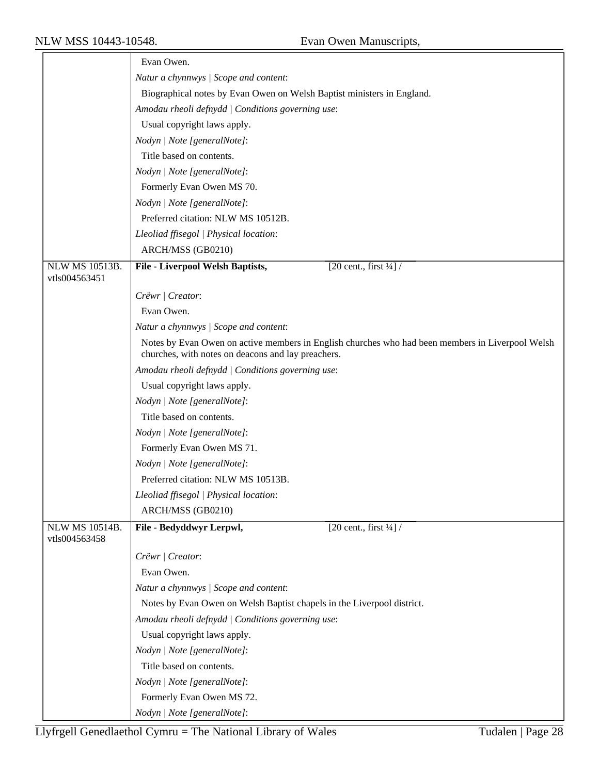|                                        | Evan Owen.                                                                                                                                             |
|----------------------------------------|--------------------------------------------------------------------------------------------------------------------------------------------------------|
|                                        | Natur a chynnwys / Scope and content:                                                                                                                  |
|                                        | Biographical notes by Evan Owen on Welsh Baptist ministers in England.                                                                                 |
|                                        | Amodau rheoli defnydd   Conditions governing use:                                                                                                      |
|                                        | Usual copyright laws apply.                                                                                                                            |
|                                        | Nodyn   Note [generalNote]:                                                                                                                            |
|                                        | Title based on contents.                                                                                                                               |
|                                        | Nodyn   Note [generalNote]:                                                                                                                            |
|                                        | Formerly Evan Owen MS 70.                                                                                                                              |
|                                        | Nodyn   Note [generalNote]:                                                                                                                            |
|                                        | Preferred citation: NLW MS 10512B.                                                                                                                     |
|                                        | Lleoliad ffisegol   Physical location:                                                                                                                 |
|                                        | ARCH/MSS (GB0210)                                                                                                                                      |
| <b>NLW MS 10513B.</b>                  | $\sqrt{20 \text{ cent.}, \text{first } \frac{1}{4}}$<br><b>File - Liverpool Welsh Baptists,</b>                                                        |
| vtls004563451                          |                                                                                                                                                        |
|                                        | Crëwr   Creator:                                                                                                                                       |
|                                        | Evan Owen.                                                                                                                                             |
|                                        | Natur a chynnwys / Scope and content:                                                                                                                  |
|                                        | Notes by Evan Owen on active members in English churches who had been members in Liverpool Welsh<br>churches, with notes on deacons and lay preachers. |
|                                        | Amodau rheoli defnydd   Conditions governing use:                                                                                                      |
|                                        | Usual copyright laws apply.                                                                                                                            |
|                                        | Nodyn   Note [generalNote]:                                                                                                                            |
|                                        | Title based on contents.                                                                                                                               |
|                                        | Nodyn   Note [generalNote]:                                                                                                                            |
|                                        | Formerly Evan Owen MS 71.                                                                                                                              |
|                                        | Nodyn   Note [generalNote]:                                                                                                                            |
|                                        | Preferred citation: NLW MS 10513B.                                                                                                                     |
|                                        | Lleoliad ffisegol   Physical location:                                                                                                                 |
|                                        | ARCH/MSS (GB0210)                                                                                                                                      |
| <b>NLW MS 10514B.</b><br>vtls004563458 | File - Bedyddwyr Lerpwl,<br>$\sqrt{20 \text{ cent.}, \text{first } \frac{1}{4}}$                                                                       |
|                                        | Crëwr / Creator:                                                                                                                                       |
|                                        | Evan Owen.                                                                                                                                             |
|                                        | Natur a chynnwys / Scope and content:                                                                                                                  |
|                                        | Notes by Evan Owen on Welsh Baptist chapels in the Liverpool district.                                                                                 |
|                                        | Amodau rheoli defnydd   Conditions governing use:                                                                                                      |
|                                        | Usual copyright laws apply.                                                                                                                            |
|                                        | Nodyn   Note [generalNote]:                                                                                                                            |
|                                        | Title based on contents.                                                                                                                               |
|                                        | Nodyn   Note [generalNote]:                                                                                                                            |
|                                        | Formerly Evan Owen MS 72.                                                                                                                              |
|                                        | Nodyn   Note [generalNote]:                                                                                                                            |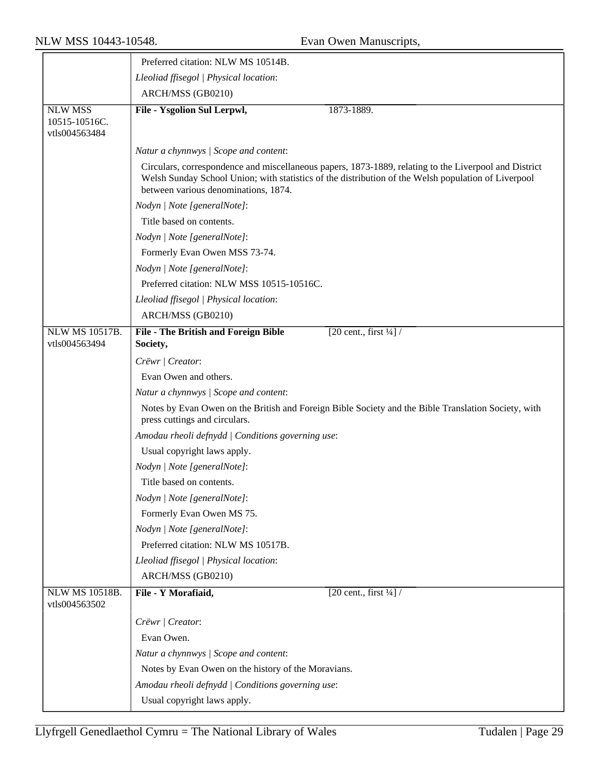|                                                  | Preferred citation: NLW MS 10514B.                  |                                                                                                                                                                                                              |
|--------------------------------------------------|-----------------------------------------------------|--------------------------------------------------------------------------------------------------------------------------------------------------------------------------------------------------------------|
|                                                  | Lleoliad ffisegol   Physical location:              |                                                                                                                                                                                                              |
|                                                  | ARCH/MSS (GB0210)                                   |                                                                                                                                                                                                              |
| <b>NLW MSS</b><br>10515-10516C.<br>vtls004563484 | File - Ysgolion Sul Lerpwl,                         | 1873-1889.                                                                                                                                                                                                   |
|                                                  | Natur a chynnwys / Scope and content:               |                                                                                                                                                                                                              |
|                                                  | between various denominations, 1874.                | Circulars, correspondence and miscellaneous papers, 1873-1889, relating to the Liverpool and District<br>Welsh Sunday School Union; with statistics of the distribution of the Welsh population of Liverpool |
|                                                  | Nodyn   Note [generalNote]:                         |                                                                                                                                                                                                              |
|                                                  | Title based on contents.                            |                                                                                                                                                                                                              |
|                                                  | Nodyn   Note [generalNote]:                         |                                                                                                                                                                                                              |
|                                                  | Formerly Evan Owen MSS 73-74.                       |                                                                                                                                                                                                              |
|                                                  | Nodyn   Note [generalNote]:                         |                                                                                                                                                                                                              |
|                                                  | Preferred citation: NLW MSS 10515-10516C.           |                                                                                                                                                                                                              |
|                                                  | Lleoliad ffisegol   Physical location:              |                                                                                                                                                                                                              |
|                                                  | ARCH/MSS (GB0210)                                   |                                                                                                                                                                                                              |
| <b>NLW MS 10517B.</b>                            | File - The British and Foreign Bible                | [20 cent., first $\frac{1}{4}$ ] /                                                                                                                                                                           |
| vtls004563494                                    | Society,                                            |                                                                                                                                                                                                              |
|                                                  | Crëwr   Creator:                                    |                                                                                                                                                                                                              |
|                                                  | Evan Owen and others.                               |                                                                                                                                                                                                              |
|                                                  | Natur a chynnwys / Scope and content:               |                                                                                                                                                                                                              |
|                                                  | press cuttings and circulars.                       | Notes by Evan Owen on the British and Foreign Bible Society and the Bible Translation Society, with                                                                                                          |
|                                                  | Amodau rheoli defnydd   Conditions governing use:   |                                                                                                                                                                                                              |
|                                                  | Usual copyright laws apply.                         |                                                                                                                                                                                                              |
|                                                  | Nodyn   Note [generalNote]:                         |                                                                                                                                                                                                              |
|                                                  | Title based on contents.                            |                                                                                                                                                                                                              |
|                                                  | Nodyn   Note [generalNote]:                         |                                                                                                                                                                                                              |
|                                                  | Formerly Evan Owen MS 75.                           |                                                                                                                                                                                                              |
|                                                  | Nodyn   Note [generalNote]:                         |                                                                                                                                                                                                              |
|                                                  | Preferred citation: NLW MS 10517B.                  |                                                                                                                                                                                                              |
|                                                  | Lleoliad ffisegol   Physical location:              |                                                                                                                                                                                                              |
|                                                  | ARCH/MSS (GB0210)                                   |                                                                                                                                                                                                              |
| <b>NLW MS 10518B.</b>                            | File - Y Morafiaid,                                 | [20 cent., first $\frac{1}{4}$ ] /                                                                                                                                                                           |
| vtls004563502                                    |                                                     |                                                                                                                                                                                                              |
|                                                  | Crëwr   Creator:                                    |                                                                                                                                                                                                              |
|                                                  | Evan Owen.                                          |                                                                                                                                                                                                              |
|                                                  | Natur a chynnwys / Scope and content:               |                                                                                                                                                                                                              |
|                                                  | Notes by Evan Owen on the history of the Moravians. |                                                                                                                                                                                                              |
|                                                  | Amodau rheoli defnydd   Conditions governing use:   |                                                                                                                                                                                                              |
|                                                  | Usual copyright laws apply.                         |                                                                                                                                                                                                              |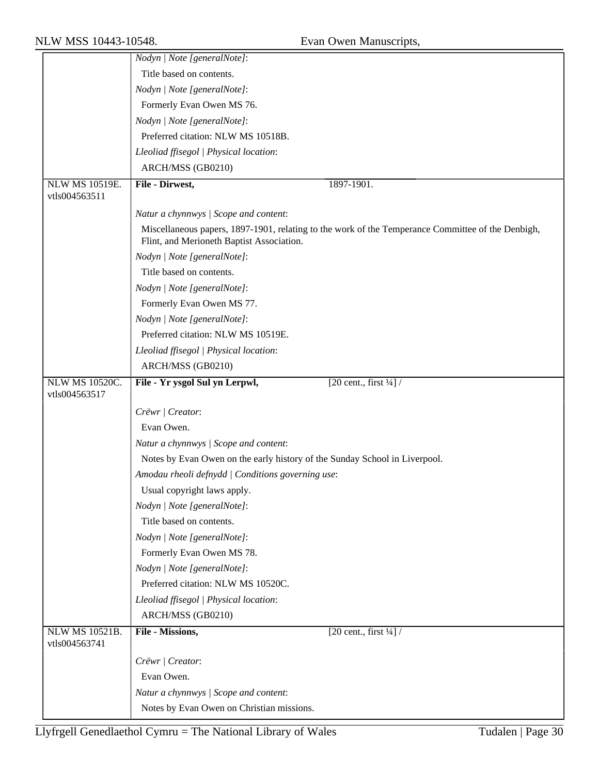|                                        | Nodyn   Note [generalNote]:                                                                                                                    |
|----------------------------------------|------------------------------------------------------------------------------------------------------------------------------------------------|
|                                        | Title based on contents.                                                                                                                       |
|                                        | Nodyn   Note [generalNote]:                                                                                                                    |
|                                        | Formerly Evan Owen MS 76.                                                                                                                      |
|                                        | Nodyn   Note [generalNote]:                                                                                                                    |
|                                        | Preferred citation: NLW MS 10518B.                                                                                                             |
|                                        | Lleoliad ffisegol   Physical location:                                                                                                         |
|                                        | ARCH/MSS (GB0210)                                                                                                                              |
| <b>NLW MS 10519E.</b>                  | File - Dirwest,<br>1897-1901.                                                                                                                  |
| vtls004563511                          |                                                                                                                                                |
|                                        | Natur a chynnwys / Scope and content:                                                                                                          |
|                                        | Miscellaneous papers, 1897-1901, relating to the work of the Temperance Committee of the Denbigh,<br>Flint, and Merioneth Baptist Association. |
|                                        | Nodyn   Note [generalNote]:                                                                                                                    |
|                                        | Title based on contents.                                                                                                                       |
|                                        | Nodyn   Note [generalNote]:                                                                                                                    |
|                                        | Formerly Evan Owen MS 77.                                                                                                                      |
|                                        | Nodyn   Note [generalNote]:                                                                                                                    |
|                                        | Preferred citation: NLW MS 10519E.                                                                                                             |
|                                        | Lleoliad ffisegol   Physical location:                                                                                                         |
|                                        | ARCH/MSS (GB0210)                                                                                                                              |
| <b>NLW MS 10520C.</b><br>vtls004563517 | [20 cent., first $\frac{1}{4}$ ] /<br>File - Yr ysgol Sul yn Lerpwl,                                                                           |
|                                        | Crëwr   Creator:                                                                                                                               |
|                                        | Evan Owen.                                                                                                                                     |
|                                        | Natur a chynnwys / Scope and content:                                                                                                          |
|                                        | Notes by Evan Owen on the early history of the Sunday School in Liverpool.                                                                     |
|                                        | Amodau rheoli defnydd   Conditions governing use:                                                                                              |
|                                        | Usual copyright laws apply.                                                                                                                    |
|                                        | Nodyn   Note [generalNote]:                                                                                                                    |
|                                        | Title based on contents.                                                                                                                       |
|                                        | Nodyn   Note [generalNote]:                                                                                                                    |
|                                        | Formerly Evan Owen MS 78.                                                                                                                      |
|                                        | Nodyn   Note [generalNote]:                                                                                                                    |
|                                        | Preferred citation: NLW MS 10520C.                                                                                                             |
|                                        | Lleoliad ffisegol   Physical location:                                                                                                         |
|                                        | ARCH/MSS (GB0210)                                                                                                                              |
| <b>NLW MS 10521B.</b>                  | File - Missions,<br>[20 cent., first $\frac{1}{4}$ ] /                                                                                         |
| vtls004563741                          |                                                                                                                                                |
|                                        | Crëwr   Creator:                                                                                                                               |
|                                        | Evan Owen.                                                                                                                                     |
|                                        | Natur a chynnwys / Scope and content:                                                                                                          |
|                                        | Notes by Evan Owen on Christian missions.                                                                                                      |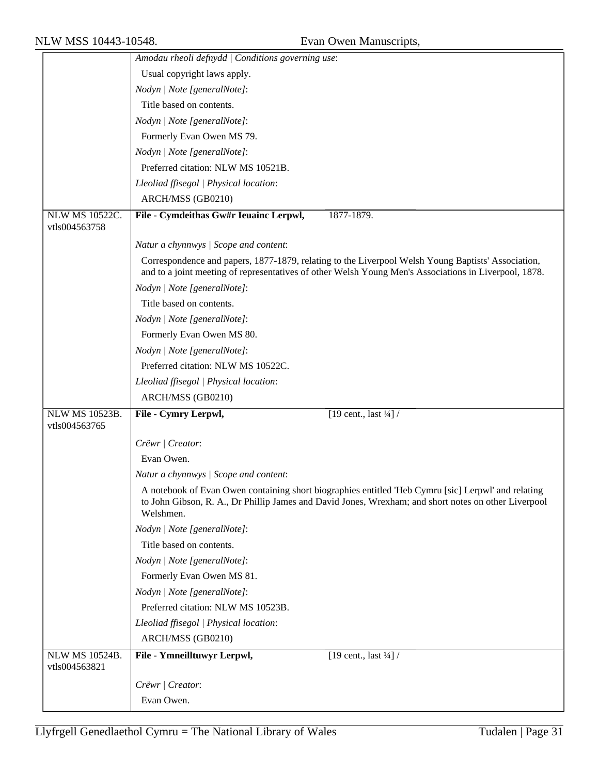|                                        | Amodau rheoli defnydd   Conditions governing use:                                                                                                                                                                        |
|----------------------------------------|--------------------------------------------------------------------------------------------------------------------------------------------------------------------------------------------------------------------------|
|                                        | Usual copyright laws apply.                                                                                                                                                                                              |
|                                        | Nodyn   Note [generalNote]:                                                                                                                                                                                              |
|                                        | Title based on contents.                                                                                                                                                                                                 |
|                                        | Nodyn   Note [generalNote]:                                                                                                                                                                                              |
|                                        | Formerly Evan Owen MS 79.                                                                                                                                                                                                |
|                                        | Nodyn   Note [generalNote]:                                                                                                                                                                                              |
|                                        | Preferred citation: NLW MS 10521B.                                                                                                                                                                                       |
|                                        | Lleoliad ffisegol   Physical location:                                                                                                                                                                                   |
|                                        | ARCH/MSS (GB0210)                                                                                                                                                                                                        |
| <b>NLW MS 10522C.</b><br>vtls004563758 | File - Cymdeithas Gw#r Ieuainc Lerpwl,<br>1877-1879.                                                                                                                                                                     |
|                                        | Natur a chynnwys / Scope and content:                                                                                                                                                                                    |
|                                        | Correspondence and papers, 1877-1879, relating to the Liverpool Welsh Young Baptists' Association,<br>and to a joint meeting of representatives of other Welsh Young Men's Associations in Liverpool, 1878.              |
|                                        | Nodyn   Note [generalNote]:                                                                                                                                                                                              |
|                                        | Title based on contents.                                                                                                                                                                                                 |
|                                        | Nodyn   Note [generalNote]:                                                                                                                                                                                              |
|                                        | Formerly Evan Owen MS 80.                                                                                                                                                                                                |
|                                        | Nodyn   Note [generalNote]:                                                                                                                                                                                              |
|                                        | Preferred citation: NLW MS 10522C.                                                                                                                                                                                       |
|                                        | Lleoliad ffisegol   Physical location:                                                                                                                                                                                   |
|                                        | ARCH/MSS (GB0210)                                                                                                                                                                                                        |
| <b>NLW MS 10523B.</b><br>vtls004563765 | File - Cymry Lerpwl,<br>[19 cent., last $\frac{1}{4}$ ] /                                                                                                                                                                |
|                                        | Crëwr   Creator:                                                                                                                                                                                                         |
|                                        | Evan Owen.                                                                                                                                                                                                               |
|                                        | Natur a chynnwys / Scope and content:                                                                                                                                                                                    |
|                                        | A notebook of Evan Owen containing short biographies entitled 'Heb Cymru [sic] Lerpwl' and relating<br>to John Gibson, R. A., Dr Phillip James and David Jones, Wrexham; and short notes on other Liverpool<br>Welshmen. |
|                                        | Nodyn   Note [generalNote]:                                                                                                                                                                                              |
|                                        | Title based on contents.                                                                                                                                                                                                 |
|                                        | Nodyn   Note [generalNote]:                                                                                                                                                                                              |
|                                        | Formerly Evan Owen MS 81.                                                                                                                                                                                                |
|                                        | Nodyn   Note [generalNote]:                                                                                                                                                                                              |
|                                        | Preferred citation: NLW MS 10523B.                                                                                                                                                                                       |
|                                        | Lleoliad ffisegol   Physical location:                                                                                                                                                                                   |
|                                        | ARCH/MSS (GB0210)                                                                                                                                                                                                        |
| <b>NLW MS 10524B.</b><br>vtls004563821 | File - Ymneilltuwyr Lerpwl,<br>$\boxed{19 \text{ cent.}, \text{last } \frac{1}{4}}$                                                                                                                                      |
|                                        | Crëwr   Creator:                                                                                                                                                                                                         |
|                                        | Evan Owen.                                                                                                                                                                                                               |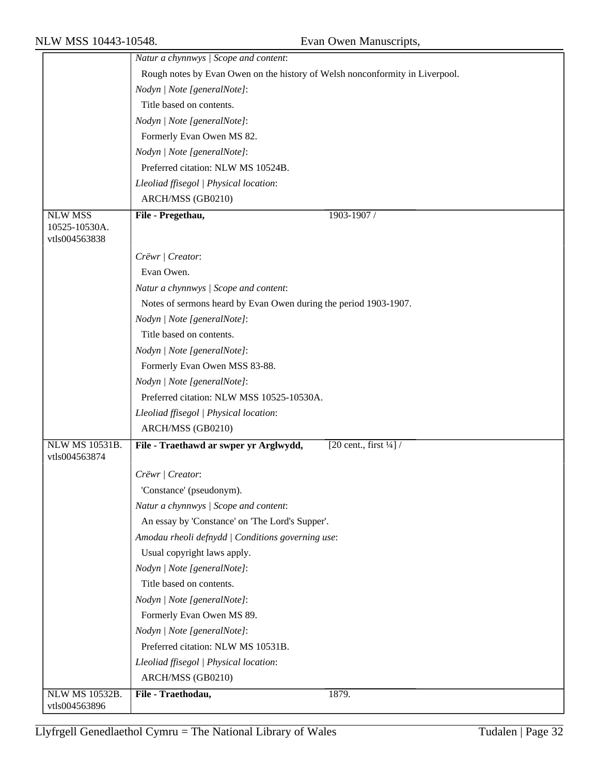|                                        | Natur a chynnwys / Scope and content:                                                          |
|----------------------------------------|------------------------------------------------------------------------------------------------|
|                                        | Rough notes by Evan Owen on the history of Welsh nonconformity in Liverpool.                   |
|                                        | Nodyn   Note [generalNote]:                                                                    |
|                                        | Title based on contents.                                                                       |
|                                        | Nodyn   Note [generalNote]:                                                                    |
|                                        | Formerly Evan Owen MS 82.                                                                      |
|                                        | Nodyn   Note [generalNote]:                                                                    |
|                                        | Preferred citation: NLW MS 10524B.                                                             |
|                                        | Lleoliad ffisegol   Physical location:                                                         |
|                                        | ARCH/MSS (GB0210)                                                                              |
| <b>NLW MSS</b>                         | File - Pregethau,<br>1903-1907 /                                                               |
| 10525-10530A.                          |                                                                                                |
| vtls004563838                          |                                                                                                |
|                                        | Crëwr   Creator:                                                                               |
|                                        | Evan Owen.                                                                                     |
|                                        | Natur a chynnwys / Scope and content:                                                          |
|                                        | Notes of sermons heard by Evan Owen during the period 1903-1907.                               |
|                                        | Nodyn   Note [generalNote]:                                                                    |
|                                        | Title based on contents.                                                                       |
|                                        | Nodyn   Note [generalNote]:                                                                    |
|                                        | Formerly Evan Owen MSS 83-88.                                                                  |
|                                        | Nodyn   Note [generalNote]:                                                                    |
|                                        | Preferred citation: NLW MSS 10525-10530A.                                                      |
|                                        | Lleoliad ffisegol   Physical location:                                                         |
|                                        | ARCH/MSS (GB0210)                                                                              |
| <b>NLW MS 10531B.</b><br>vtls004563874 | File - Traethawd ar swper yr Arglwydd,<br>$\sqrt{20 \text{ cent.}, \text{first } \frac{1}{4}}$ |
|                                        | Crëwr   Creator:                                                                               |
|                                        | 'Constance' (pseudonym).                                                                       |
|                                        | Natur a chynnwys / Scope and content:                                                          |
|                                        | An essay by 'Constance' on 'The Lord's Supper'.                                                |
|                                        | Amodau rheoli defnydd   Conditions governing use:                                              |
|                                        | Usual copyright laws apply.                                                                    |
|                                        | Nodyn   Note [generalNote]:                                                                    |
|                                        | Title based on contents.                                                                       |
|                                        | Nodyn   Note [generalNote]:                                                                    |
|                                        | Formerly Evan Owen MS 89.                                                                      |
|                                        | Nodyn   Note [generalNote]:                                                                    |
|                                        | Preferred citation: NLW MS 10531B.                                                             |
|                                        | Lleoliad ffisegol   Physical location:                                                         |
|                                        | ARCH/MSS (GB0210)                                                                              |
| <b>NLW MS 10532B.</b>                  | File - Traethodau,<br>1879.                                                                    |
| vtls004563896                          |                                                                                                |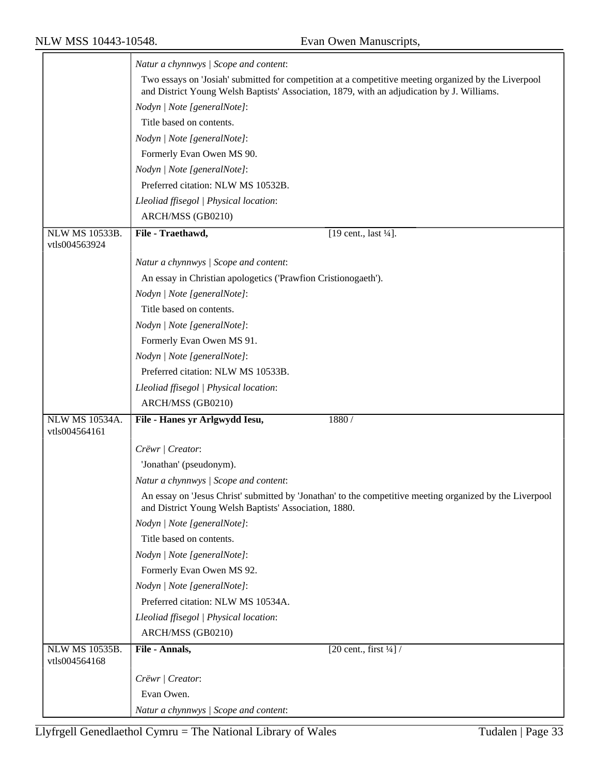$\overline{\phantom{0}}$ 

|                                        | Natur a chynnwys / Scope and content:                                                                                                                                                              |
|----------------------------------------|----------------------------------------------------------------------------------------------------------------------------------------------------------------------------------------------------|
|                                        | Two essays on 'Josiah' submitted for competition at a competitive meeting organized by the Liverpool<br>and District Young Welsh Baptists' Association, 1879, with an adjudication by J. Williams. |
|                                        | Nodyn   Note [generalNote]:                                                                                                                                                                        |
|                                        | Title based on contents.                                                                                                                                                                           |
|                                        | Nodyn   Note [generalNote]:                                                                                                                                                                        |
|                                        | Formerly Evan Owen MS 90.                                                                                                                                                                          |
|                                        | Nodyn   Note [generalNote]:                                                                                                                                                                        |
|                                        | Preferred citation: NLW MS 10532B.                                                                                                                                                                 |
|                                        | Lleoliad ffisegol   Physical location:                                                                                                                                                             |
|                                        | ARCH/MSS (GB0210)                                                                                                                                                                                  |
| <b>NLW MS 10533B.</b><br>vtls004563924 | File - Traethawd,<br>[19 cent., last 1/4].                                                                                                                                                         |
|                                        | Natur a chynnwys / Scope and content:                                                                                                                                                              |
|                                        | An essay in Christian apologetics ('Prawfion Cristionogaeth').                                                                                                                                     |
|                                        | Nodyn   Note [generalNote]:                                                                                                                                                                        |
|                                        | Title based on contents.                                                                                                                                                                           |
|                                        | Nodyn   Note [generalNote]:                                                                                                                                                                        |
|                                        | Formerly Evan Owen MS 91.                                                                                                                                                                          |
|                                        | Nodyn   Note [generalNote]:                                                                                                                                                                        |
|                                        | Preferred citation: NLW MS 10533B.                                                                                                                                                                 |
|                                        | Lleoliad ffisegol   Physical location:                                                                                                                                                             |
|                                        | ARCH/MSS (GB0210)                                                                                                                                                                                  |
| <b>NLW MS 10534A.</b><br>vtls004564161 | File - Hanes yr Arlgwydd Iesu,<br>1880/                                                                                                                                                            |
|                                        | Crëwr   Creator:                                                                                                                                                                                   |
|                                        | 'Jonathan' (pseudonym).                                                                                                                                                                            |
|                                        | Natur a chynnwys / Scope and content:                                                                                                                                                              |
|                                        | An essay on 'Jesus Christ' submitted by 'Jonathan' to the competitive meeting organized by the Liverpool<br>and District Young Welsh Baptists' Association, 1880.                                  |
|                                        |                                                                                                                                                                                                    |
|                                        | Nodyn   Note [generalNote]:                                                                                                                                                                        |
|                                        | Title based on contents.                                                                                                                                                                           |
|                                        | Nodyn   Note [generalNote]:                                                                                                                                                                        |
|                                        | Formerly Evan Owen MS 92.                                                                                                                                                                          |
|                                        | Nodyn   Note [generalNote]:                                                                                                                                                                        |
|                                        | Preferred citation: NLW MS 10534A.                                                                                                                                                                 |
|                                        | Lleoliad ffisegol   Physical location:                                                                                                                                                             |
|                                        | ARCH/MSS (GB0210)                                                                                                                                                                                  |
| <b>NLW MS 10535B.</b><br>vtls004564168 | File - Annals,<br>[20 cent., first $\frac{1}{4}$ ] /                                                                                                                                               |
|                                        | Crëwr   Creator:                                                                                                                                                                                   |
|                                        | Evan Owen.                                                                                                                                                                                         |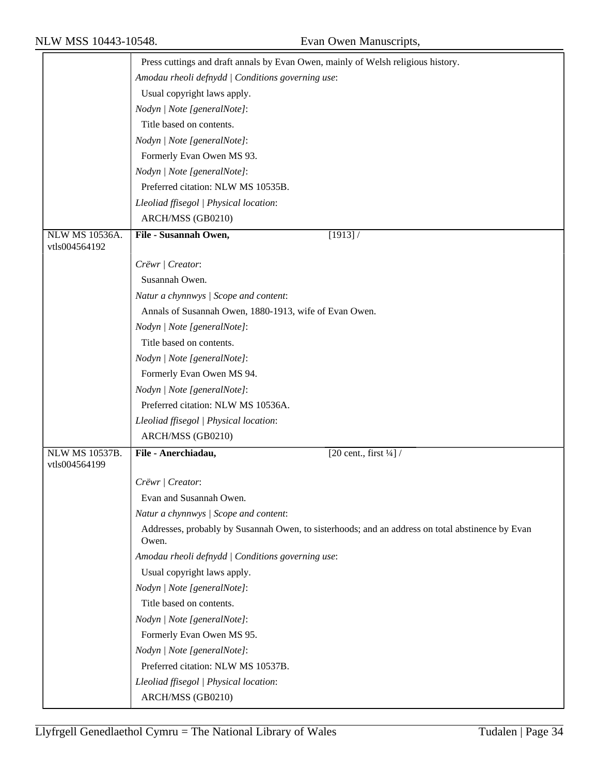|                       | Press cuttings and draft annals by Evan Owen, mainly of Welsh religious history.                          |
|-----------------------|-----------------------------------------------------------------------------------------------------------|
|                       | Amodau rheoli defnydd   Conditions governing use:                                                         |
|                       | Usual copyright laws apply.                                                                               |
|                       | Nodyn   Note [generalNote]:                                                                               |
|                       | Title based on contents.                                                                                  |
|                       | Nodyn   Note [generalNote]:                                                                               |
|                       | Formerly Evan Owen MS 93.                                                                                 |
|                       | Nodyn   Note [generalNote]:                                                                               |
|                       | Preferred citation: NLW MS 10535B.                                                                        |
|                       | Lleoliad ffisegol   Physical location:                                                                    |
|                       | ARCH/MSS (GB0210)                                                                                         |
| NLW MS 10536A.        | File - Susannah Owen,<br>[1913] /                                                                         |
| vtls004564192         |                                                                                                           |
|                       | Crëwr   Creator:                                                                                          |
|                       | Susannah Owen.                                                                                            |
|                       | Natur a chynnwys / Scope and content:                                                                     |
|                       | Annals of Susannah Owen, 1880-1913, wife of Evan Owen.                                                    |
|                       | Nodyn   Note [generalNote]:                                                                               |
|                       | Title based on contents.                                                                                  |
|                       | Nodyn   Note [generalNote]:                                                                               |
|                       | Formerly Evan Owen MS 94.                                                                                 |
|                       | Nodyn   Note [generalNote]:                                                                               |
|                       | Preferred citation: NLW MS 10536A.                                                                        |
|                       | Lleoliad ffisegol   Physical location:                                                                    |
|                       | ARCH/MSS (GB0210)                                                                                         |
| <b>NLW MS 10537B.</b> | File - Anerchiadau,<br>[20 cent., first $\frac{1}{4}$ ] /                                                 |
| vtls004564199         |                                                                                                           |
|                       | Crëwr   Creator:                                                                                          |
|                       | Evan and Susannah Owen.                                                                                   |
|                       | Natur a chynnwys / Scope and content:                                                                     |
|                       | Addresses, probably by Susannah Owen, to sisterhoods; and an address on total abstinence by Evan<br>Owen. |
|                       | Amodau rheoli defnydd   Conditions governing use:                                                         |
|                       | Usual copyright laws apply.                                                                               |
|                       | Nodyn   Note [generalNote]:                                                                               |
|                       | Title based on contents.                                                                                  |
|                       | Nodyn   Note [generalNote]:                                                                               |
|                       | Formerly Evan Owen MS 95.                                                                                 |
|                       | Nodyn   Note [generalNote]:                                                                               |
|                       | Preferred citation: NLW MS 10537B.                                                                        |
|                       | Lleoliad ffisegol   Physical location:                                                                    |
|                       | ARCH/MSS (GB0210)                                                                                         |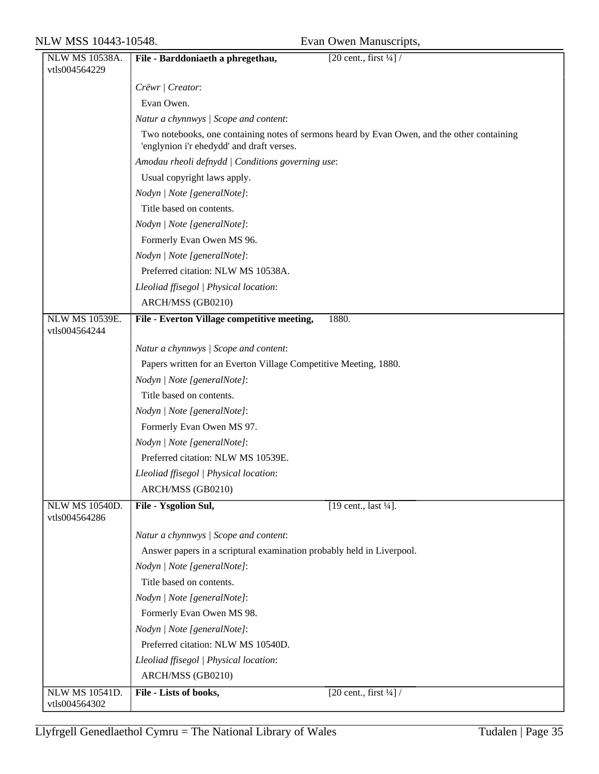| NLW MS 10538A.                         | File - Barddoniaeth a phregethau,<br>[20 cent., first $\frac{1}{4}$ ] /                                                                  |
|----------------------------------------|------------------------------------------------------------------------------------------------------------------------------------------|
| vtls004564229                          |                                                                                                                                          |
|                                        | Crëwr   Creator:                                                                                                                         |
|                                        | Evan Owen.                                                                                                                               |
|                                        | Natur a chynnwys / Scope and content:                                                                                                    |
|                                        | Two notebooks, one containing notes of sermons heard by Evan Owen, and the other containing<br>'englynion i'r ehedydd' and draft verses. |
|                                        | Amodau rheoli defnydd   Conditions governing use:                                                                                        |
|                                        | Usual copyright laws apply.                                                                                                              |
|                                        | Nodyn   Note [generalNote]:                                                                                                              |
|                                        | Title based on contents.                                                                                                                 |
|                                        | Nodyn   Note [generalNote]:                                                                                                              |
|                                        | Formerly Evan Owen MS 96.                                                                                                                |
|                                        | Nodyn   Note [generalNote]:                                                                                                              |
|                                        | Preferred citation: NLW MS 10538A.                                                                                                       |
|                                        | Lleoliad ffisegol   Physical location:                                                                                                   |
|                                        | ARCH/MSS (GB0210)                                                                                                                        |
| <b>NLW MS 10539E.</b>                  | File - Everton Village competitive meeting,<br>1880.                                                                                     |
| vtls004564244                          |                                                                                                                                          |
|                                        | Natur a chynnwys / Scope and content:                                                                                                    |
|                                        | Papers written for an Everton Village Competitive Meeting, 1880.                                                                         |
|                                        | Nodyn   Note [generalNote]:                                                                                                              |
|                                        | Title based on contents.                                                                                                                 |
|                                        | Nodyn   Note [generalNote]:                                                                                                              |
|                                        | Formerly Evan Owen MS 97.                                                                                                                |
|                                        | Nodyn   Note [generalNote]:                                                                                                              |
|                                        | Preferred citation: NLW MS 10539E.                                                                                                       |
|                                        | Lleoliad ffisegol   Physical location:                                                                                                   |
|                                        | ARCH/MSS (GB0210)                                                                                                                        |
| <b>NLW MS 10540D.</b><br>vtls004564286 | [19 cent., last $\frac{1}{4}$ ].<br>File - Ysgolion Sul,                                                                                 |
|                                        | Natur a chynnwys / Scope and content:                                                                                                    |
|                                        | Answer papers in a scriptural examination probably held in Liverpool.                                                                    |
|                                        | Nodyn   Note [generalNote]:                                                                                                              |
|                                        | Title based on contents.                                                                                                                 |
|                                        | Nodyn   Note [generalNote]:                                                                                                              |
|                                        | Formerly Evan Owen MS 98.                                                                                                                |
|                                        | Nodyn   Note [generalNote]:                                                                                                              |
|                                        | Preferred citation: NLW MS 10540D.                                                                                                       |
|                                        | Lleoliad ffisegol   Physical location:                                                                                                   |
|                                        | ARCH/MSS (GB0210)                                                                                                                        |
| <b>NLW MS 10541D.</b><br>vtls004564302 | File - Lists of books,<br>$\left[20 \text{ cent.}, \text{first } \frac{1}{4}\right]$                                                     |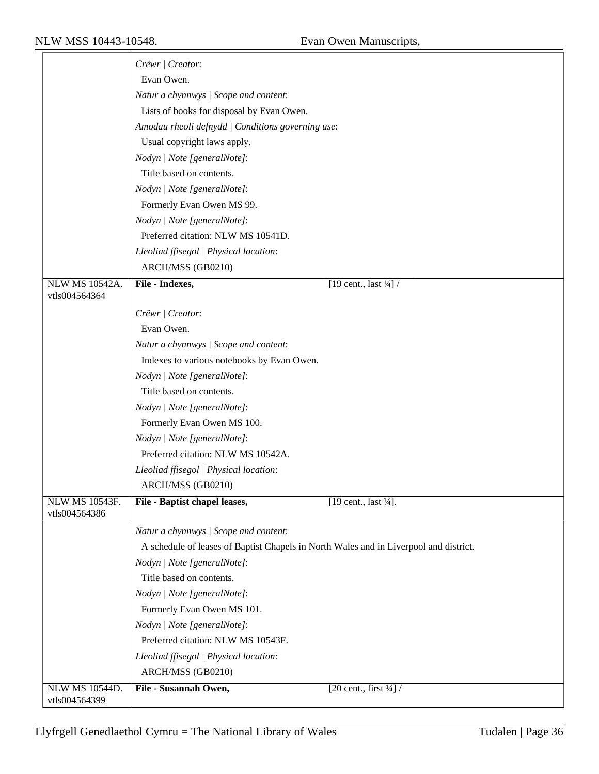|                       | Crëwr / Creator:                                                                      |
|-----------------------|---------------------------------------------------------------------------------------|
|                       | Evan Owen.                                                                            |
|                       | Natur a chynnwys / Scope and content:                                                 |
|                       |                                                                                       |
|                       | Lists of books for disposal by Evan Owen.                                             |
|                       | Amodau rheoli defnydd   Conditions governing use:                                     |
|                       | Usual copyright laws apply.                                                           |
|                       | Nodyn   Note [generalNote]:                                                           |
|                       | Title based on contents.                                                              |
|                       | Nodyn   Note [generalNote]:                                                           |
|                       | Formerly Evan Owen MS 99.                                                             |
|                       | Nodyn   Note [generalNote]:                                                           |
|                       | Preferred citation: NLW MS 10541D.                                                    |
|                       | Lleoliad ffisegol   Physical location:                                                |
|                       | ARCH/MSS (GB0210)                                                                     |
| <b>NLW MS 10542A.</b> | File - Indexes,<br>[19 cent., last $\frac{1}{4}$ ] /                                  |
| vtls004564364         |                                                                                       |
|                       | Crëwr   Creator:                                                                      |
|                       | Evan Owen.                                                                            |
|                       | Natur a chynnwys / Scope and content:                                                 |
|                       | Indexes to various notebooks by Evan Owen.                                            |
|                       | Nodyn   Note [generalNote]:                                                           |
|                       | Title based on contents.                                                              |
|                       | Nodyn   Note [generalNote]:                                                           |
|                       | Formerly Evan Owen MS 100.                                                            |
|                       | Nodyn   Note [generalNote]:                                                           |
|                       | Preferred citation: NLW MS 10542A.                                                    |
|                       | Lleoliad ffisegol   Physical location:                                                |
|                       | ARCH/MSS (GB0210)                                                                     |
| NLW MS 10543F.        | File - Baptist chapel leases,<br>[19 cent., last $\frac{1}{4}$ ].                     |
| vtls004564386         |                                                                                       |
|                       | Natur a chynnwys / Scope and content:                                                 |
|                       | A schedule of leases of Baptist Chapels in North Wales and in Liverpool and district. |
|                       | Nodyn   Note [generalNote]:                                                           |
|                       | Title based on contents.                                                              |
|                       | Nodyn   Note [generalNote]:                                                           |
|                       | Formerly Evan Owen MS 101.                                                            |
|                       | Nodyn   Note [generalNote]:                                                           |
|                       | Preferred citation: NLW MS 10543F.                                                    |
|                       | Lleoliad ffisegol   Physical location:                                                |
|                       | ARCH/MSS (GB0210)                                                                     |
| <b>NLW MS 10544D.</b> | [20 cent., first $\frac{1}{4}$ ] /<br>File - Susannah Owen,                           |
| vtls004564399         |                                                                                       |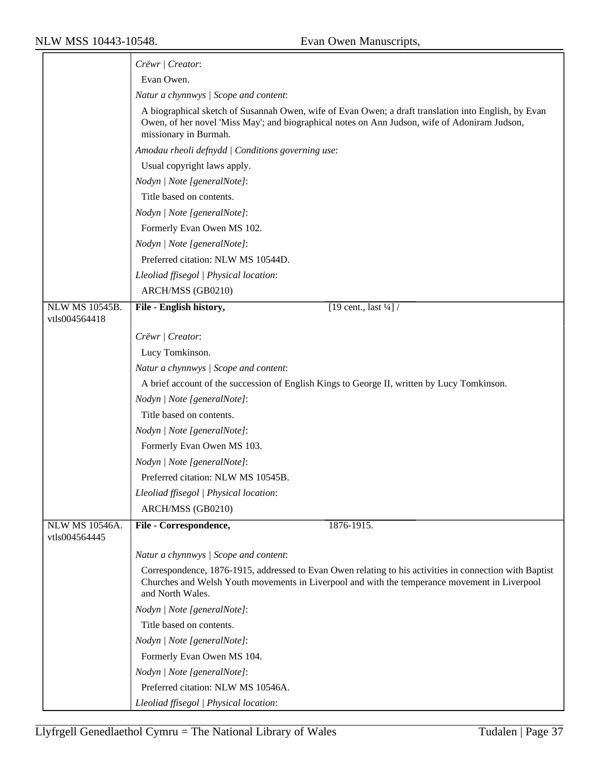|                       | Crëwr / Creator:                                                                                                                                                                                                               |
|-----------------------|--------------------------------------------------------------------------------------------------------------------------------------------------------------------------------------------------------------------------------|
|                       | Evan Owen.                                                                                                                                                                                                                     |
|                       | Natur a chynnwys / Scope and content:                                                                                                                                                                                          |
|                       | A biographical sketch of Susannah Owen, wife of Evan Owen; a draft translation into English, by Evan<br>Owen, of her novel 'Miss May'; and biographical notes on Ann Judson, wife of Adoniram Judson,<br>missionary in Burmah. |
|                       | Amodau rheoli defnydd   Conditions governing use:                                                                                                                                                                              |
|                       | Usual copyright laws apply.                                                                                                                                                                                                    |
|                       | Nodyn   Note [generalNote]:                                                                                                                                                                                                    |
|                       | Title based on contents.                                                                                                                                                                                                       |
|                       | Nodyn   Note [generalNote]:                                                                                                                                                                                                    |
|                       | Formerly Evan Owen MS 102.                                                                                                                                                                                                     |
|                       | Nodyn   Note [generalNote]:                                                                                                                                                                                                    |
|                       | Preferred citation: NLW MS 10544D.                                                                                                                                                                                             |
|                       | Lleoliad ffisegol   Physical location:                                                                                                                                                                                         |
|                       | ARCH/MSS (GB0210)                                                                                                                                                                                                              |
| NLW MS 10545B.        | [19 cent., last $\frac{1}{4}$ ] /<br>File - English history,                                                                                                                                                                   |
| vtls004564418         |                                                                                                                                                                                                                                |
|                       | Crëwr   Creator:                                                                                                                                                                                                               |
|                       | Lucy Tomkinson.                                                                                                                                                                                                                |
|                       | Natur a chynnwys / Scope and content:                                                                                                                                                                                          |
|                       | A brief account of the succession of English Kings to George II, written by Lucy Tomkinson.                                                                                                                                    |
|                       | Nodyn   Note [generalNote]:                                                                                                                                                                                                    |
|                       | Title based on contents.                                                                                                                                                                                                       |
|                       | Nodyn   Note [generalNote]:                                                                                                                                                                                                    |
|                       | Formerly Evan Owen MS 103.                                                                                                                                                                                                     |
|                       | Nodyn   Note [generalNote]:                                                                                                                                                                                                    |
|                       | Preferred citation: NLW MS 10545B.                                                                                                                                                                                             |
|                       | Lleoliad ffisegol   Physical location:                                                                                                                                                                                         |
|                       | ARCH/MSS (GB0210)                                                                                                                                                                                                              |
| <b>NLW MS 10546A.</b> | File - Correspondence,<br>1876-1915.                                                                                                                                                                                           |
| vtls004564445         |                                                                                                                                                                                                                                |
|                       | Natur a chynnwys / Scope and content:                                                                                                                                                                                          |
|                       | Correspondence, 1876-1915, addressed to Evan Owen relating to his activities in connection with Baptist<br>Churches and Welsh Youth movements in Liverpool and with the temperance movement in Liverpool<br>and North Wales.   |
|                       | Nodyn   Note [generalNote]:                                                                                                                                                                                                    |
|                       | Title based on contents.                                                                                                                                                                                                       |
|                       | Nodyn   Note [generalNote]:                                                                                                                                                                                                    |
|                       | Formerly Evan Owen MS 104.                                                                                                                                                                                                     |
|                       | Nodyn   Note [generalNote]:                                                                                                                                                                                                    |
|                       | Preferred citation: NLW MS 10546A.                                                                                                                                                                                             |
|                       | Lleoliad ffisegol   Physical location:                                                                                                                                                                                         |